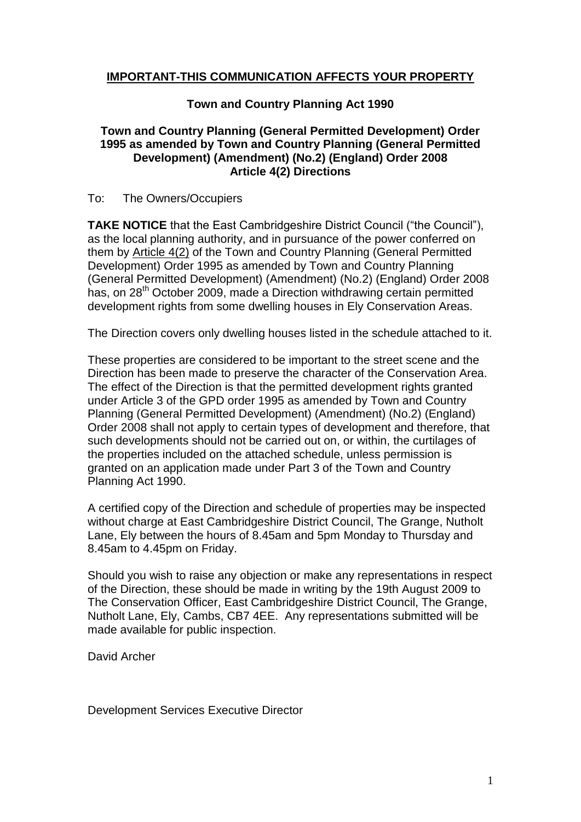# **IMPORTANT-THIS COMMUNICATION AFFECTS YOUR PROPERTY**

## **Town and Country Planning Act 1990**

## **Town and Country Planning (General Permitted Development) Order 1995 as amended by Town and Country Planning (General Permitted Development) (Amendment) (No.2) (England) Order 2008 Article 4(2) Directions**

#### To: The Owners/Occupiers

**TAKE NOTICE** that the East Cambridgeshire District Council ("the Council"), as the local planning authority, and in pursuance of the power conferred on them by Article 4(2) of the Town and Country Planning (General Permitted Development) Order 1995 as amended by Town and Country Planning (General Permitted Development) (Amendment) (No.2) (England) Order 2008 has, on 28<sup>th</sup> October 2009, made a Direction withdrawing certain permitted development rights from some dwelling houses in Ely Conservation Areas.

The Direction covers only dwelling houses listed in the schedule attached to it.

These properties are considered to be important to the street scene and the Direction has been made to preserve the character of the Conservation Area. The effect of the Direction is that the permitted development rights granted under Article 3 of the GPD order 1995 as amended by Town and Country Planning (General Permitted Development) (Amendment) (No.2) (England) Order 2008 shall not apply to certain types of development and therefore, that such developments should not be carried out on, or within, the curtilages of the properties included on the attached schedule, unless permission is granted on an application made under Part 3 of the Town and Country Planning Act 1990.

A certified copy of the Direction and schedule of properties may be inspected without charge at East Cambridgeshire District Council, The Grange, Nutholt Lane, Ely between the hours of 8.45am and 5pm Monday to Thursday and 8.45am to 4.45pm on Friday.

Should you wish to raise any objection or make any representations in respect of the Direction, these should be made in writing by the 19th August 2009 to The Conservation Officer, East Cambridgeshire District Council, The Grange, Nutholt Lane, Ely, Cambs, CB7 4EE. Any representations submitted will be made available for public inspection.

David Archer

Development Services Executive Director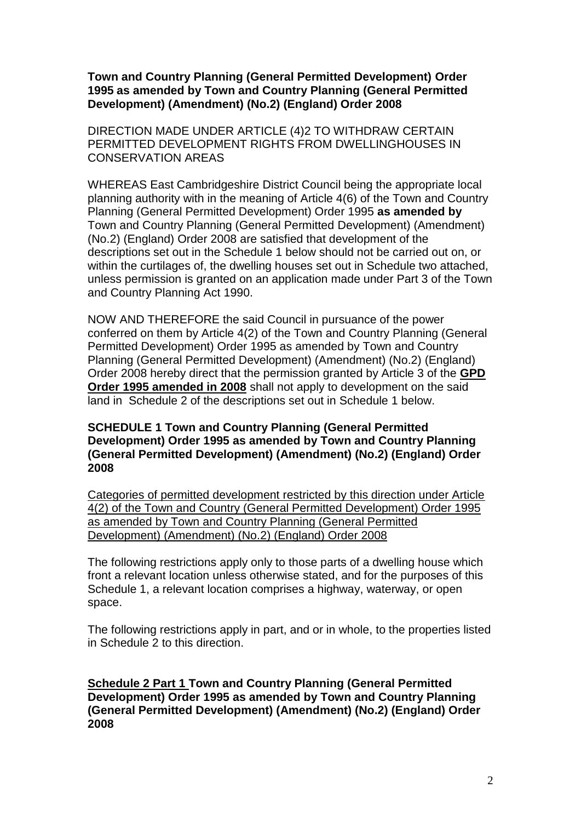**Town and Country Planning (General Permitted Development) Order 1995 as amended by Town and Country Planning (General Permitted Development) (Amendment) (No.2) (England) Order 2008**

DIRECTION MADE UNDER ARTICLE (4)2 TO WITHDRAW CERTAIN PERMITTED DEVELOPMENT RIGHTS FROM DWELLINGHOUSES IN CONSERVATION AREAS

WHEREAS East Cambridgeshire District Council being the appropriate local planning authority with in the meaning of Article 4(6) of the Town and Country Planning (General Permitted Development) Order 1995 **as amended by**  Town and Country Planning (General Permitted Development) (Amendment) (No.2) (England) Order 2008 are satisfied that development of the descriptions set out in the Schedule 1 below should not be carried out on, or within the curtilages of, the dwelling houses set out in Schedule two attached, unless permission is granted on an application made under Part 3 of the Town and Country Planning Act 1990.

NOW AND THEREFORE the said Council in pursuance of the power conferred on them by Article 4(2) of the Town and Country Planning (General Permitted Development) Order 1995 as amended by Town and Country Planning (General Permitted Development) (Amendment) (No.2) (England) Order 2008 hereby direct that the permission granted by Article 3 of the **GPD Order 1995 amended in 2008** shall not apply to development on the said land in Schedule 2 of the descriptions set out in Schedule 1 below.

### **SCHEDULE 1 Town and Country Planning (General Permitted Development) Order 1995 as amended by Town and Country Planning (General Permitted Development) (Amendment) (No.2) (England) Order 2008**

Categories of permitted development restricted by this direction under Article 4(2) of the Town and Country (General Permitted Development) Order 1995 as amended by Town and Country Planning (General Permitted Development) (Amendment) (No.2) (England) Order 2008

The following restrictions apply only to those parts of a dwelling house which front a relevant location unless otherwise stated, and for the purposes of this Schedule 1, a relevant location comprises a highway, waterway, or open space.

The following restrictions apply in part, and or in whole, to the properties listed in Schedule 2 to this direction.

**Schedule 2 Part 1 Town and Country Planning (General Permitted Development) Order 1995 as amended by Town and Country Planning (General Permitted Development) (Amendment) (No.2) (England) Order 2008**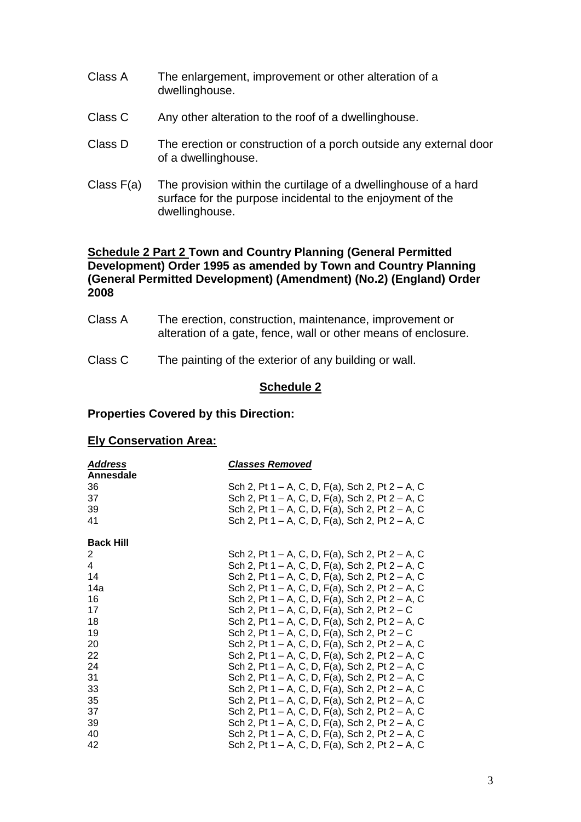- Class A The enlargement, improvement or other alteration of a dwellinghouse.
- Class C Any other alteration to the roof of a dwellinghouse.
- Class D The erection or construction of a porch outside any external door of a dwellinghouse.
- Class F(a) The provision within the curtilage of a dwellinghouse of a hard surface for the purpose incidental to the enjoyment of the dwellinghouse.

### **Schedule 2 Part 2 Town and Country Planning (General Permitted Development) Order 1995 as amended by Town and Country Planning (General Permitted Development) (Amendment) (No.2) (England) Order 2008**

- Class A The erection, construction, maintenance, improvement or alteration of a gate, fence, wall or other means of enclosure.
- Class C The painting of the exterior of any building or wall.

#### **Schedule 2**

#### **Properties Covered by this Direction:**

#### **Ely Conservation Area:**

| <b>Address</b>   | <b>Classes Removed</b>                            |
|------------------|---------------------------------------------------|
| Annesdale        |                                                   |
| 36               | Sch 2, Pt 1 – A, C, D, F(a), Sch 2, Pt 2 – A, C   |
| 37               | Sch 2, Pt 1 – A, C, D, F(a), Sch 2, Pt 2 – A, C   |
| 39               | Sch 2, Pt 1 – A, C, D, F(a), Sch 2, Pt 2 – A, C   |
| 41               | Sch 2, Pt 1 – A, C, D, F(a), Sch 2, Pt 2 – A, C   |
| <b>Back Hill</b> |                                                   |
| 2                | Sch 2, Pt 1 – A, C, D, F(a), Sch 2, Pt 2 – A, C   |
| 4                | Sch 2, Pt 1 – A, C, D, F(a), Sch 2, Pt 2 – A, C   |
| 14               | Sch 2, Pt 1 – A, C, D, F(a), Sch 2, Pt 2 – A, C   |
| 14a              | Sch 2, Pt 1 – A, C, D, F(a), Sch 2, Pt 2 – A, C   |
| 16               | Sch 2, Pt 1 – A, C, D, F(a), Sch 2, Pt 2 – A, C   |
| 17               | Sch 2, Pt 1 – A, C, D, F(a), Sch 2, Pt 2 – C      |
| 18               | Sch 2, Pt 1 – A, C, D, F(a), Sch 2, Pt 2 – A, C   |
| 19               | Sch 2, Pt $1 - A$ , C, D, F(a), Sch 2, Pt $2 - C$ |
| 20               | Sch 2, Pt 1 – A, C, D, F(a), Sch 2, Pt 2 – A, C   |
| 22               | Sch 2, Pt 1 – A, C, D, F(a), Sch 2, Pt 2 – A, C   |
| 24               | Sch 2, Pt 1 – A, C, D, F(a), Sch 2, Pt 2 – A, C   |
| 31               | Sch 2, Pt 1 – A, C, D, F(a), Sch 2, Pt 2 – A, C   |
| 33               | Sch 2, Pt 1 – A, C, D, F(a), Sch 2, Pt 2 – A, C   |
| 35               | Sch 2, Pt 1 – A, C, D, F(a), Sch 2, Pt 2 – A, C   |
| 37               | Sch 2, Pt 1 – A, C, D, F(a), Sch 2, Pt 2 – A, C   |
| 39               | Sch 2, Pt 1 – A, C, D, F(a), Sch 2, Pt 2 – A, C   |
| 40               | Sch 2, Pt 1 – A, C, D, F(a), Sch 2, Pt 2 – A, C   |
| 42               | Sch 2, Pt 1 – A, C, D, F(a), Sch 2, Pt 2 – A, C   |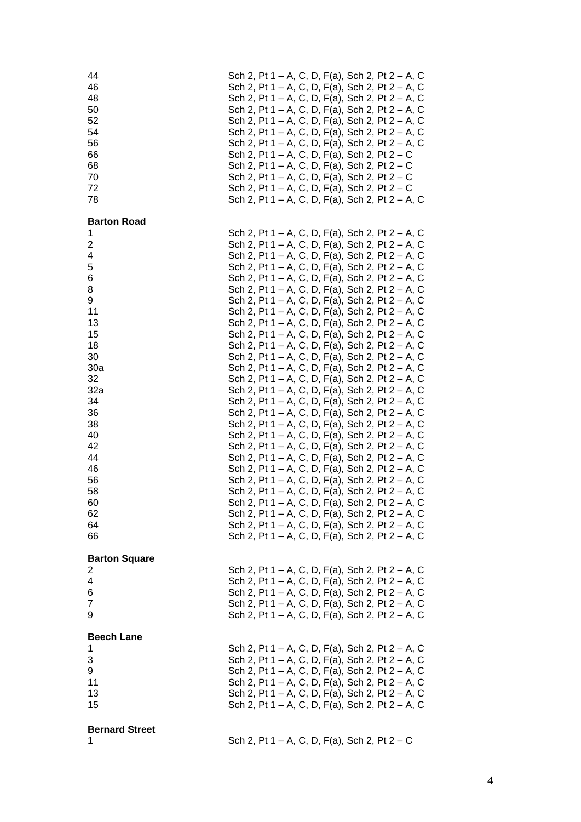| 44<br>46<br>48<br>50<br>52<br>54<br>56<br>66<br>68<br>70<br>72<br>78                                                                                                                         | Sch 2, Pt 1 – A, C, D, F(a), Sch 2, Pt 2 – A, C<br>Sch 2, Pt 1 – A, C, D, F(a), Sch 2, Pt 2 – A, C<br>Sch 2, Pt 1 – A, C, D, F(a), Sch 2, Pt 2 – A, C<br>Sch 2, Pt 1 – A, C, D, F(a), Sch 2, Pt 2 – A, C<br>Sch 2, Pt 1 – A, C, D, F(a), Sch 2, Pt 2 – A, C<br>Sch 2, Pt 1 – A, C, D, F(a), Sch 2, Pt 2 – A, C<br>Sch 2, Pt 1 – A, C, D, F(a), Sch 2, Pt 2 – A, C<br>Sch 2, Pt $1 - A$ , C, D, F(a), Sch 2, Pt $2 - C$<br>Sch 2, Pt $1 - A$ , C, D, F(a), Sch 2, Pt $2 - C$<br>Sch 2, Pt $1 - A$ , C, D, F(a), Sch 2, Pt $2 - C$<br>Sch 2, Pt 1 – A, C, D, F(a), Sch 2, Pt $2 - C$<br>Sch 2, Pt 1 – A, C, D, F(a), Sch 2, Pt 2 – A, C                                                                                                                                                                                                                                                                                                                                                                                                                                                                                                                                                                                                                                                                                                                                      |  |  |                                                 |  |  |  |
|----------------------------------------------------------------------------------------------------------------------------------------------------------------------------------------------|----------------------------------------------------------------------------------------------------------------------------------------------------------------------------------------------------------------------------------------------------------------------------------------------------------------------------------------------------------------------------------------------------------------------------------------------------------------------------------------------------------------------------------------------------------------------------------------------------------------------------------------------------------------------------------------------------------------------------------------------------------------------------------------------------------------------------------------------------------------------------------------------------------------------------------------------------------------------------------------------------------------------------------------------------------------------------------------------------------------------------------------------------------------------------------------------------------------------------------------------------------------------------------------------------------------------------------------------------------------------------|--|--|-------------------------------------------------|--|--|--|
| <b>Barton Road</b><br>1<br>$\overline{c}$<br>4<br>5<br>6<br>8<br>9<br>11<br>13<br>15<br>18<br>30<br>30a<br>32<br>32a<br>34<br>36<br>38<br>40<br>42<br>44<br>46<br>56<br>58<br>60<br>62<br>64 | Sch 2, Pt 1 – A, C, D, F(a), Sch 2, Pt 2 – A, C<br>Sch 2, Pt 1 – A, C, D, F(a), Sch 2, Pt 2 – A, C<br>Sch 2, Pt 1 – A, C, D, F(a), Sch 2, Pt 2 – A, C<br>Sch 2, Pt 1 – A, C, D, F(a), Sch 2, Pt 2 – A, C<br>Sch 2, Pt 1 – A, C, D, F(a), Sch 2, Pt 2 – A, C<br>Sch 2, Pt 1 – A, C, D, F(a), Sch 2, Pt 2 – A, C<br>Sch 2, Pt 1 – A, C, D, F(a), Sch 2, Pt 2 – A, C<br>Sch 2, Pt 1 – A, C, D, F(a), Sch 2, Pt 2 – A, C<br>Sch 2, Pt 1 – A, C, D, F(a), Sch 2, Pt 2 – A, C<br>Sch 2, Pt 1 – A, C, D, F(a), Sch 2, Pt 2 – A, C<br>Sch 2, Pt 1 – A, C, D, F(a), Sch 2, Pt 2 – A, C<br>Sch 2, Pt 1 – A, C, D, F(a), Sch 2, Pt 2 – A, C<br>Sch 2, Pt 1 – A, C, D, F(a), Sch 2, Pt 2 – A, C<br>Sch 2, Pt 1 – A, C, D, F(a), Sch 2, Pt 2 – A, C<br>Sch 2, Pt 1 – A, C, D, F(a), Sch 2, Pt 2 – A, C<br>Sch 2, Pt 1 – A, C, D, F(a), Sch 2, Pt 2 – A, C<br>Sch 2, Pt 1 – A, C, D, F(a), Sch 2, Pt 2 – A, C<br>Sch 2, Pt 1 – A, C, D, F(a), Sch 2, Pt 2 – A, C<br>Sch 2, Pt 1 – A, C, D, F(a), Sch 2, Pt 2 – A, C<br>Sch 2, Pt 1 – A, C, D, F(a), Sch 2, Pt 2 – A, C<br>Sch 2, Pt 1 – A, C, D, F(a), Sch 2, Pt 2 – A, C<br>Sch 2, Pt 1 – A, C, D, F(a), Sch 2, Pt 2 – A, C<br>Sch 2, Pt 1 – A, C, D, F(a), Sch 2, Pt 2 – A, C<br>Sch 2, Pt 1 – A, C, D, F(a), Sch 2, Pt 2 – A, C<br>Sch 2, Pt 1 – A, C, D, F(a), Sch 2, Pt 2 – A, C<br>Sch 2, Pt 1 – A, C, D, F(a), Sch 2, Pt 2 – A, C |  |  | Sch 2, Pt 1 – A, C, D, F(a), Sch 2, Pt 2 – A, C |  |  |  |
| 66<br><b>Barton Square</b><br>2<br>4<br>6                                                                                                                                                    | Sch 2, Pt 1 – A, C, D, F(a), Sch 2, Pt 2 – A, C<br>Sch 2, Pt 1 – A, C, D, F(a), Sch 2, Pt 2 – A, C<br>Sch 2, Pt 1 – A, C, D, F(a), Sch 2, Pt 2 – A, C<br>Sch 2, Pt 1 – A, C, D, F(a), Sch 2, Pt 2 – A, C                                                                                                                                                                                                                                                                                                                                                                                                                                                                                                                                                                                                                                                                                                                                                                                                                                                                                                                                                                                                                                                                                                                                                                   |  |  |                                                 |  |  |  |
| $\overline{7}$<br>9                                                                                                                                                                          | Sch 2, Pt 1 – A, C, D, F(a), Sch 2, Pt 2 – A, C<br>Sch 2, Pt 1 – A, C, D, F(a), Sch 2, Pt 2 – A, C                                                                                                                                                                                                                                                                                                                                                                                                                                                                                                                                                                                                                                                                                                                                                                                                                                                                                                                                                                                                                                                                                                                                                                                                                                                                         |  |  |                                                 |  |  |  |
| <b>Beech Lane</b><br>1<br>3<br>9<br>11<br>13<br>15                                                                                                                                           | Sch 2, Pt 1 – A, C, D, F(a), Sch 2, Pt 2 – A, C<br>Sch 2, Pt 1 – A, C, D, F(a), Sch 2, Pt 2 – A, C<br>Sch 2, Pt 1 – A, C, D, F(a), Sch 2, Pt 2 – A, C<br>Sch 2, Pt 1 – A, C, D, F(a), Sch 2, Pt 2 – A, C<br>Sch 2, Pt 1 – A, C, D, F(a), Sch 2, Pt 2 – A, C<br>Sch 2, Pt 1 – A, C, D, F(a), Sch 2, Pt 2 – A, C                                                                                                                                                                                                                                                                                                                                                                                                                                                                                                                                                                                                                                                                                                                                                                                                                                                                                                                                                                                                                                                             |  |  |                                                 |  |  |  |
| <b>Bernard Street</b><br>1                                                                                                                                                                   | Sch 2, Pt 1 – A, C, D, F(a), Sch 2, Pt $2 - C$                                                                                                                                                                                                                                                                                                                                                                                                                                                                                                                                                                                                                                                                                                                                                                                                                                                                                                                                                                                                                                                                                                                                                                                                                                                                                                                             |  |  |                                                 |  |  |  |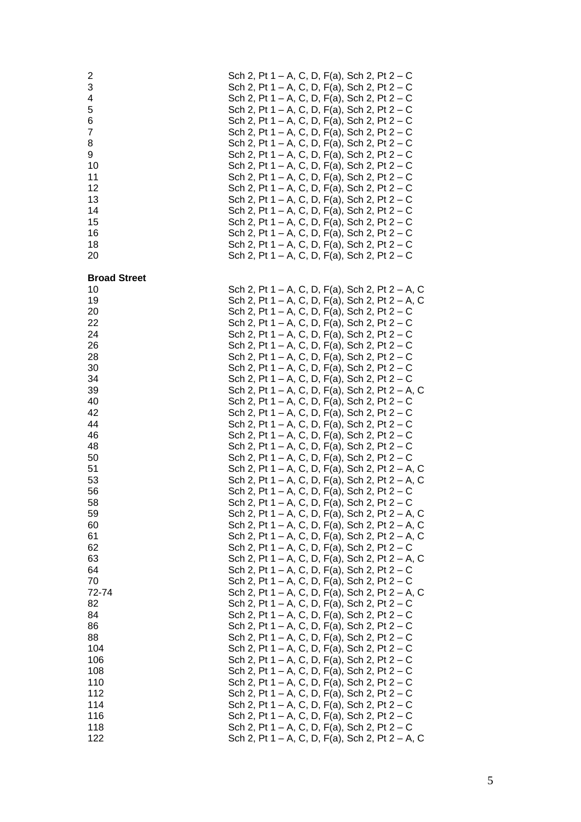| 2<br>3<br>4<br>5<br>6<br>$\overline{7}$<br>8<br>9<br>10<br>11<br>12<br>13<br>14<br>15<br>16<br>18<br>20 | Sch 2, Pt 1 – A, C, D, F(a), Sch 2, Pt 2 – C<br>Sch 2, Pt 1 – A, C, D, F(a), Sch 2, Pt 2 – C<br>Sch 2, Pt 1 – A, C, D, F(a), Sch 2, Pt 2 – C<br>Sch 2, Pt 1 – A, C, D, F(a), Sch 2, Pt $2 - C$<br>Sch 2, Pt 1 – A, C, D, F(a), Sch 2, Pt 2 – C<br>Sch 2, Pt $1 - A$ , C, D, F(a), Sch 2, Pt $2 - C$<br>Sch 2, Pt $1 - A$ , C, D, F(a), Sch 2, Pt $2 - C$<br>Sch 2, Pt 1 – A, C, D, F(a), Sch 2, Pt $2 - C$<br>Sch 2, Pt 1 – A, C, D, F(a), Sch 2, Pt $2 - C$<br>Sch 2, Pt 1 – A, C, D, F(a), Sch 2, Pt $2 - C$<br>Sch 2, Pt 1 – A, C, D, F(a), Sch 2, Pt 2 – C<br>Sch 2, Pt 1 – A, C, D, F(a), Sch 2, Pt 2 – C<br>Sch 2, Pt 1 – A, C, D, F(a), Sch 2, Pt 2 – C<br>Sch 2, Pt 1 – A, C, D, F(a), Sch 2, Pt $2 - C$<br>Sch 2, Pt 1 – A, C, D, F(a), Sch 2, Pt $2 - C$<br>Sch 2, Pt 1 – A, C, D, F(a), Sch 2, Pt $2 - C$<br>Sch 2, Pt 1 – A, C, D, F(a), Sch 2, Pt $2 - C$ |
|---------------------------------------------------------------------------------------------------------|------------------------------------------------------------------------------------------------------------------------------------------------------------------------------------------------------------------------------------------------------------------------------------------------------------------------------------------------------------------------------------------------------------------------------------------------------------------------------------------------------------------------------------------------------------------------------------------------------------------------------------------------------------------------------------------------------------------------------------------------------------------------------------------------------------------------------------------------------------------------|
| <b>Broad Street</b>                                                                                     |                                                                                                                                                                                                                                                                                                                                                                                                                                                                                                                                                                                                                                                                                                                                                                                                                                                                        |
| 10<br>19                                                                                                | Sch 2, Pt 1 – A, C, D, F(a), Sch 2, Pt 2 – A, C<br>Sch 2, Pt 1 – A, C, D, F(a), Sch 2, Pt 2 – A, C                                                                                                                                                                                                                                                                                                                                                                                                                                                                                                                                                                                                                                                                                                                                                                     |
| 20                                                                                                      | Sch 2, Pt $1 - A$ , C, D, F(a), Sch 2, Pt $2 - C$                                                                                                                                                                                                                                                                                                                                                                                                                                                                                                                                                                                                                                                                                                                                                                                                                      |
| 22<br>24                                                                                                | Sch 2, Pt 1 – A, C, D, F(a), Sch 2, Pt 2 – C<br>Sch 2, Pt 1 – A, C, D, F(a), Sch 2, Pt 2 – C                                                                                                                                                                                                                                                                                                                                                                                                                                                                                                                                                                                                                                                                                                                                                                           |
| 26                                                                                                      | Sch 2, Pt $1 - A$ , C, D, F(a), Sch 2, Pt $2 - C$                                                                                                                                                                                                                                                                                                                                                                                                                                                                                                                                                                                                                                                                                                                                                                                                                      |
| 28                                                                                                      | Sch 2, Pt 1 – A, C, D, F(a), Sch 2, Pt $2 - C$                                                                                                                                                                                                                                                                                                                                                                                                                                                                                                                                                                                                                                                                                                                                                                                                                         |
| 30                                                                                                      | Sch 2, Pt 1 – A, C, D, F(a), Sch 2, Pt 2 – C                                                                                                                                                                                                                                                                                                                                                                                                                                                                                                                                                                                                                                                                                                                                                                                                                           |
| 34<br>39                                                                                                | Sch 2, Pt 1 – A, C, D, F(a), Sch 2, Pt 2 – C<br>Sch 2, Pt 1 – A, C, D, F(a), Sch 2, Pt 2 – A, C                                                                                                                                                                                                                                                                                                                                                                                                                                                                                                                                                                                                                                                                                                                                                                        |
| 40                                                                                                      | Sch 2, Pt 1 – A, C, D, F(a), Sch 2, Pt 2 – C                                                                                                                                                                                                                                                                                                                                                                                                                                                                                                                                                                                                                                                                                                                                                                                                                           |
| 42                                                                                                      | Sch 2, Pt 1 – A, C, D, F(a), Sch 2, Pt 2 – C                                                                                                                                                                                                                                                                                                                                                                                                                                                                                                                                                                                                                                                                                                                                                                                                                           |
| 44<br>46                                                                                                | Sch 2, Pt $1 - A$ , C, D, F(a), Sch 2, Pt $2 - C$<br>Sch 2, Pt 1 – A, C, D, F(a), Sch 2, Pt $2 - C$                                                                                                                                                                                                                                                                                                                                                                                                                                                                                                                                                                                                                                                                                                                                                                    |
| 48                                                                                                      | Sch 2, Pt 1 – A, C, D, F(a), Sch 2, Pt 2 – C                                                                                                                                                                                                                                                                                                                                                                                                                                                                                                                                                                                                                                                                                                                                                                                                                           |
| 50                                                                                                      | Sch 2, Pt $1 - A$ , C, D, F(a), Sch 2, Pt $2 - C$                                                                                                                                                                                                                                                                                                                                                                                                                                                                                                                                                                                                                                                                                                                                                                                                                      |
| 51<br>53                                                                                                | Sch 2, Pt 1 – A, C, D, F(a), Sch 2, Pt 2 – A, C<br>Sch 2, Pt 1 – A, C, D, F(a), Sch 2, Pt 2 – A, C                                                                                                                                                                                                                                                                                                                                                                                                                                                                                                                                                                                                                                                                                                                                                                     |
| 56                                                                                                      | Sch 2, Pt 1 – A, C, D, F(a), Sch 2, Pt 2 – C                                                                                                                                                                                                                                                                                                                                                                                                                                                                                                                                                                                                                                                                                                                                                                                                                           |
| 58                                                                                                      | Sch 2, Pt 1 – A, C, D, F(a), Sch 2, Pt 2 – C                                                                                                                                                                                                                                                                                                                                                                                                                                                                                                                                                                                                                                                                                                                                                                                                                           |
| 59<br>60                                                                                                | Sch 2, Pt 1 – A, C, D, F(a), Sch 2, Pt 2 – A, C<br>Sch 2, Pt 1 – A, C, D, F(a), Sch 2, Pt 2 – A, C                                                                                                                                                                                                                                                                                                                                                                                                                                                                                                                                                                                                                                                                                                                                                                     |
| 61                                                                                                      | Sch 2, Pt 1 – A, C, D, F(a), Sch 2, Pt 2 – A, C                                                                                                                                                                                                                                                                                                                                                                                                                                                                                                                                                                                                                                                                                                                                                                                                                        |
| 62                                                                                                      | Sch 2, Pt $1 - A$ , C, D, F(a), Sch 2, Pt $2 - C$                                                                                                                                                                                                                                                                                                                                                                                                                                                                                                                                                                                                                                                                                                                                                                                                                      |
| 63<br>64                                                                                                | Sch 2, Pt 1 – A, C, D, F(a), Sch 2, Pt 2 – A, C<br>Sch 2, Pt 1 – A, C, D, F(a), Sch 2, Pt $2 - C$                                                                                                                                                                                                                                                                                                                                                                                                                                                                                                                                                                                                                                                                                                                                                                      |
| 70                                                                                                      | Sch 2, Pt 1 – A, C, D, F(a), Sch 2, Pt $2 - C$                                                                                                                                                                                                                                                                                                                                                                                                                                                                                                                                                                                                                                                                                                                                                                                                                         |
| 72-74                                                                                                   | Sch 2, Pt 1 – A, C, D, F(a), Sch 2, Pt 2 – A, C                                                                                                                                                                                                                                                                                                                                                                                                                                                                                                                                                                                                                                                                                                                                                                                                                        |
| 82<br>84                                                                                                | Sch 2, Pt 1 – A, C, D, F(a), Sch 2, Pt 2 – C<br>Sch 2, Pt $1 - A$ , C, D, F(a), Sch 2, Pt $2 - C$                                                                                                                                                                                                                                                                                                                                                                                                                                                                                                                                                                                                                                                                                                                                                                      |
| 86                                                                                                      | Sch 2, Pt 1 – A, C, D, F(a), Sch 2, Pt $2 - C$                                                                                                                                                                                                                                                                                                                                                                                                                                                                                                                                                                                                                                                                                                                                                                                                                         |
| 88                                                                                                      | Sch 2, Pt 1 – A, C, D, F(a), Sch 2, Pt $2 - C$                                                                                                                                                                                                                                                                                                                                                                                                                                                                                                                                                                                                                                                                                                                                                                                                                         |
| 104                                                                                                     | Sch 2, Pt 1 – A, C, D, F(a), Sch 2, Pt $2 - C$                                                                                                                                                                                                                                                                                                                                                                                                                                                                                                                                                                                                                                                                                                                                                                                                                         |
| 106<br>108                                                                                              | Sch 2, Pt 1 – A, C, D, F(a), Sch 2, Pt $2 - C$<br>Sch 2, Pt 1 – A, C, D, F(a), Sch 2, Pt $2 - C$                                                                                                                                                                                                                                                                                                                                                                                                                                                                                                                                                                                                                                                                                                                                                                       |
| 110                                                                                                     | Sch 2, Pt 1 – A, C, D, F(a), Sch 2, Pt $2 - C$                                                                                                                                                                                                                                                                                                                                                                                                                                                                                                                                                                                                                                                                                                                                                                                                                         |
| 112                                                                                                     | Sch 2, Pt 1 – A, C, D, F(a), Sch 2, Pt 2 – C                                                                                                                                                                                                                                                                                                                                                                                                                                                                                                                                                                                                                                                                                                                                                                                                                           |
| 114<br>116                                                                                              | Sch 2, Pt $1 - A$ , C, D, F(a), Sch 2, Pt $2 - C$<br>Sch 2, Pt 1 – A, C, D, F(a), Sch 2, Pt 2 – C                                                                                                                                                                                                                                                                                                                                                                                                                                                                                                                                                                                                                                                                                                                                                                      |
| 118                                                                                                     | Sch 2, Pt $1 - A$ , C, D, F(a), Sch 2, Pt $2 - C$                                                                                                                                                                                                                                                                                                                                                                                                                                                                                                                                                                                                                                                                                                                                                                                                                      |
| 122                                                                                                     | Sch 2, Pt 1 – A, C, D, F(a), Sch 2, Pt 2 – A, C                                                                                                                                                                                                                                                                                                                                                                                                                                                                                                                                                                                                                                                                                                                                                                                                                        |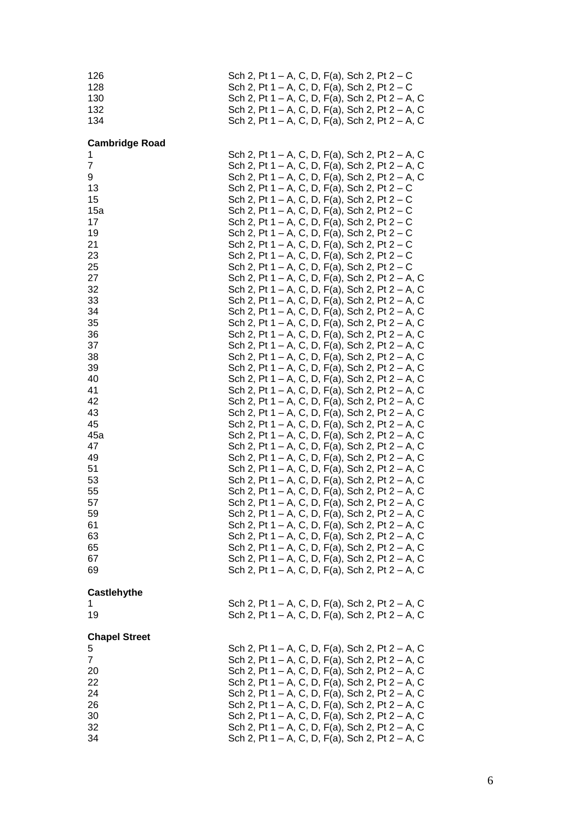| 126<br>128<br>130<br>132<br>134                                                                                             |  | Sch 2, Pt 1 – A, C, D, F(a), Sch 2, Pt 2 – C<br>Sch 2, Pt 1 – A, C, D, F(a), Sch 2, Pt 2 – C<br>Sch 2, Pt 1 – A, C, D, F(a), Sch 2, Pt 2 – A, C<br>Sch 2, Pt 1 – A, C, D, F(a), Sch 2, Pt 2 – A, C<br>Sch 2, Pt 1 – A, C, D, F(a), Sch 2, Pt 2 – A, C                                                                                                                                                                                                                                                                                                                                                                                                                                                                                                                                                                                                                                                                                                                                                                                                                                                       |
|-----------------------------------------------------------------------------------------------------------------------------|--|-------------------------------------------------------------------------------------------------------------------------------------------------------------------------------------------------------------------------------------------------------------------------------------------------------------------------------------------------------------------------------------------------------------------------------------------------------------------------------------------------------------------------------------------------------------------------------------------------------------------------------------------------------------------------------------------------------------------------------------------------------------------------------------------------------------------------------------------------------------------------------------------------------------------------------------------------------------------------------------------------------------------------------------------------------------------------------------------------------------|
| <b>Cambridge Road</b><br>1<br>7<br>9<br>13<br>15<br>15a<br>17<br>19<br>21<br>23<br>25<br>27<br>32<br>33<br>34<br>35<br>36   |  | Sch 2, Pt 1 – A, C, D, F(a), Sch 2, Pt 2 – A, C<br>Sch 2, Pt 1 – A, C, D, F(a), Sch 2, Pt 2 – A, C<br>Sch 2, Pt 1 – A, C, D, F(a), Sch 2, Pt 2 – A, C<br>Sch 2, Pt 1 – A, C, D, F(a), Sch 2, Pt 2 – C<br>Sch 2, Pt 1 – A, C, D, F(a), Sch 2, Pt 2 – C<br>Sch 2, Pt 1 – A, C, D, F(a), Sch 2, Pt $2 - C$<br>Sch 2, Pt 1 – A, C, D, F(a), Sch 2, Pt 2 – C<br>Sch 2, Pt 1 – A, C, D, F(a), Sch 2, Pt 2 – C<br>Sch 2, Pt 1 – A, C, D, F(a), Sch 2, Pt 2 – C<br>Sch 2, Pt 1 – A, C, D, F(a), Sch 2, Pt 2 – C<br>Sch 2, Pt 1 – A, C, D, F(a), Sch 2, Pt 2 – C<br>Sch 2, Pt 1 – A, C, D, F(a), Sch 2, Pt 2 – A, C<br>Sch 2, Pt 1 – A, C, D, F(a), Sch 2, Pt 2 – A, C<br>Sch 2, Pt 1 – A, C, D, F(a), Sch 2, Pt 2 – A, C<br>Sch 2, Pt 1 – A, C, D, F(a), Sch 2, Pt 2 – A, C<br>Sch 2, Pt 1 – A, C, D, F(a), Sch 2, Pt 2 – A, C<br>Sch 2, Pt 1 – A, C, D, F(a), Sch 2, Pt 2 – A, C                                                                                                                                                                                                                                   |
| 37<br>38<br>39<br>40<br>41<br>42<br>43<br>45<br>45a<br>47<br>49<br>51<br>53<br>55<br>57<br>59<br>61<br>63<br>65<br>67<br>69 |  | Sch 2, Pt 1 – A, C, D, F(a), Sch 2, Pt 2 – A, C<br>Sch 2, Pt 1 – A, C, D, F(a), Sch 2, Pt 2 – A, C<br>Sch 2, Pt 1 – A, C, D, F(a), Sch 2, Pt 2 – A, C<br>Sch 2, Pt 1 – A, C, D, F(a), Sch 2, Pt 2 – A, C<br>Sch 2, Pt 1 – A, C, D, F(a), Sch 2, Pt 2 – A, C<br>Sch 2, Pt 1 – A, C, D, F(a), Sch 2, Pt 2 – A, C<br>Sch 2, Pt 1 – A, C, D, F(a), Sch 2, Pt 2 – A, C<br>Sch 2, Pt 1 – A, C, D, F(a), Sch 2, Pt 2 – A, C<br>Sch 2, Pt 1 – A, C, D, F(a), Sch 2, Pt 2 – A, C<br>Sch 2, Pt 1 – A, C, D, F(a), Sch 2, Pt 2 – A, C<br>Sch 2, Pt 1 – A, C, D, F(a), Sch 2, Pt 2 – A, C<br>Sch 2, Pt 1 – A, C, D, F(a), Sch 2, Pt 2 – A, C<br>Sch 2, Pt 1 – A, C, D, F(a), Sch 2, Pt 2 – A, C<br>Sch 2, Pt 1 – A, C, D, F(a), Sch 2, Pt 2 – A, C<br>Sch 2, Pt 1 – A, C, D, F(a), Sch 2, Pt 2 – A, C<br>Sch 2, Pt 1 – A, C, D, F(a), Sch 2, Pt 2 – A, C<br>Sch 2, Pt 1 – A, C, D, F(a), Sch 2, Pt 2 – A, C<br>Sch 2, Pt 1 – A, C, D, F(a), Sch 2, Pt 2 – A, C<br>Sch 2, Pt 1 – A, C, D, F(a), Sch 2, Pt 2 – A, C<br>Sch 2, Pt 1 – A, C, D, F(a), Sch 2, Pt 2 – A, C<br>Sch 2, Pt 1 – A, C, D, F(a), Sch 2, Pt 2 – A, C |
| <b>Castlehythe</b><br>1<br>19                                                                                               |  | Sch 2, Pt 1 – A, C, D, F(a), Sch 2, Pt 2 – A, C<br>Sch 2, Pt 1 – A, C, D, F(a), Sch 2, Pt 2 – A, C                                                                                                                                                                                                                                                                                                                                                                                                                                                                                                                                                                                                                                                                                                                                                                                                                                                                                                                                                                                                          |
| <b>Chapel Street</b><br>5<br>$\overline{7}$<br>20<br>22<br>24<br>26<br>30<br>32<br>34                                       |  | Sch 2, Pt 1 – A, C, D, F(a), Sch 2, Pt 2 – A, C<br>Sch 2, Pt 1 – A, C, D, F(a), Sch 2, Pt 2 – A, C<br>Sch 2, Pt 1 – A, C, D, F(a), Sch 2, Pt 2 – A, C<br>Sch 2, Pt 1 – A, C, D, F(a), Sch 2, Pt 2 – A, C<br>Sch 2, Pt 1 – A, C, D, F(a), Sch 2, Pt 2 – A, C<br>Sch 2, Pt 1 – A, C, D, F(a), Sch 2, Pt 2 – A, C<br>Sch 2, Pt 1 – A, C, D, F(a), Sch 2, Pt 2 – A, C<br>Sch 2, Pt 1 – A, C, D, F(a), Sch 2, Pt 2 – A, C<br>Sch 2, Pt 1 – A, C, D, F(a), Sch 2, Pt 2 – A, C                                                                                                                                                                                                                                                                                                                                                                                                                                                                                                                                                                                                                                     |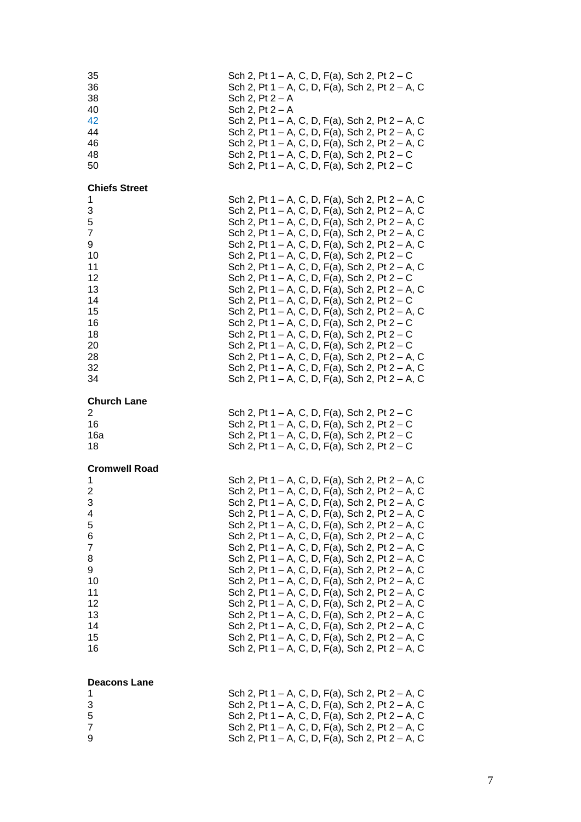| 35<br>36<br>38<br>40       | Sch 2, $Pt 2 - A$<br>Sch 2, $Pt 2 - A$ |  |  |  |  | Sch 2, Pt $1 - A$ , C, D, F(a), Sch 2, Pt $2 - C$<br>Sch 2, Pt 1 – A, C, D, F(a), Sch 2, Pt 2 – A, C                                                                                                                                                    |  |  |  |
|----------------------------|----------------------------------------|--|--|--|--|---------------------------------------------------------------------------------------------------------------------------------------------------------------------------------------------------------------------------------------------------------|--|--|--|
| 42<br>44<br>46<br>48<br>50 |                                        |  |  |  |  | Sch 2, Pt 1 – A, C, D, F(a), Sch 2, Pt 2 – A, C<br>Sch 2, Pt 1 – A, C, D, F(a), Sch 2, Pt 2 – A, C<br>Sch 2, Pt 1 – A, C, D, F(a), Sch 2, Pt 2 – A, C<br>Sch 2, Pt 1 – A, C, D, F(a), Sch 2, Pt 2 – C<br>Sch 2, Pt 1 – A, C, D, F(a), Sch 2, Pt $2 - C$ |  |  |  |
| <b>Chiefs Street</b>       |                                        |  |  |  |  |                                                                                                                                                                                                                                                         |  |  |  |
| 1<br>3                     |                                        |  |  |  |  | Sch 2, Pt 1 – A, C, D, F(a), Sch 2, Pt 2 – A, C<br>Sch 2, Pt 1 – A, C, D, F(a), Sch 2, Pt 2 – A, C                                                                                                                                                      |  |  |  |
| 5<br>7                     |                                        |  |  |  |  | Sch 2, Pt 1 – A, C, D, F(a), Sch 2, Pt 2 – A, C                                                                                                                                                                                                         |  |  |  |
| 9                          |                                        |  |  |  |  | Sch 2, Pt 1 – A, C, D, F(a), Sch 2, Pt 2 – A, C<br>Sch 2, Pt 1 – A, C, D, F(a), Sch 2, Pt 2 – A, C                                                                                                                                                      |  |  |  |
| 10<br>11                   |                                        |  |  |  |  | Sch 2, Pt 1 – A, C, D, F(a), Sch 2, Pt $2 - C$<br>Sch 2, Pt 1 – A, C, D, F(a), Sch 2, Pt 2 – A, C                                                                                                                                                       |  |  |  |
| 12                         |                                        |  |  |  |  | Sch 2, Pt $1 - A$ , C, D, F(a), Sch 2, Pt $2 - C$                                                                                                                                                                                                       |  |  |  |
| 13<br>14                   |                                        |  |  |  |  | Sch 2, Pt 1 – A, C, D, F(a), Sch 2, Pt 2 – A, C<br>Sch 2, Pt 1 – A, C, D, F(a), Sch 2, Pt 2 – C                                                                                                                                                         |  |  |  |
| 15                         |                                        |  |  |  |  | Sch 2, Pt 1 – A, C, D, F(a), Sch 2, Pt 2 – A, C                                                                                                                                                                                                         |  |  |  |
| 16<br>18                   |                                        |  |  |  |  | Sch 2, Pt 1 – A, C, D, F(a), Sch 2, Pt $2 - C$<br>Sch 2, Pt $1 - A$ , C, D, F(a), Sch 2, Pt $2 - C$                                                                                                                                                     |  |  |  |
| 20                         |                                        |  |  |  |  | Sch 2, Pt 1 – A, C, D, F(a), Sch 2, Pt 2 – C                                                                                                                                                                                                            |  |  |  |
| 28<br>32                   |                                        |  |  |  |  | Sch 2, Pt 1 – A, C, D, F(a), Sch 2, Pt 2 – A, C<br>Sch 2, Pt 1 – A, C, D, F(a), Sch 2, Pt 2 – A, C                                                                                                                                                      |  |  |  |
| 34                         |                                        |  |  |  |  | Sch 2, Pt 1 – A, C, D, F(a), Sch 2, Pt 2 – A, C                                                                                                                                                                                                         |  |  |  |
| <b>Church Lane</b>         |                                        |  |  |  |  |                                                                                                                                                                                                                                                         |  |  |  |
| $\overline{2}$<br>16       |                                        |  |  |  |  | Sch 2, Pt 1 – A, C, D, F(a), Sch 2, Pt 2 – C<br>Sch 2, Pt $1 - A$ , C, D, F(a), Sch 2, Pt $2 - C$                                                                                                                                                       |  |  |  |
| 16a<br>18                  |                                        |  |  |  |  | Sch 2, Pt 1 – A, C, D, F(a), Sch 2, Pt $2 - C$<br>Sch 2, Pt $1 - A$ , C, D, F(a), Sch 2, Pt $2 - C$                                                                                                                                                     |  |  |  |
|                            |                                        |  |  |  |  |                                                                                                                                                                                                                                                         |  |  |  |
| <b>Cromwell Road</b><br>1  |                                        |  |  |  |  | Sch 2, Pt 1 – A, C, D, F(a), Sch 2, Pt 2 – A, C                                                                                                                                                                                                         |  |  |  |
| 2                          |                                        |  |  |  |  | Sch 2, Pt 1 – A, C, D, F(a), Sch 2, Pt 2 – A, C                                                                                                                                                                                                         |  |  |  |
| 3<br>4                     |                                        |  |  |  |  | Sch 2, Pt 1 – A, C, D, F(a), Sch 2, Pt 2 – A, C<br>Sch 2, Pt 1 – A, C, D, F(a), Sch 2, Pt 2 – A, C                                                                                                                                                      |  |  |  |
| 5                          |                                        |  |  |  |  | Sch 2, Pt 1 – A, C, D, F(a), Sch 2, Pt 2 – A, C                                                                                                                                                                                                         |  |  |  |
| 6<br>7                     |                                        |  |  |  |  | Sch 2, Pt 1 – A, C, D, F(a), Sch 2, Pt 2 – A, C<br>Sch 2, Pt 1 – A, C, D, F(a), Sch 2, Pt 2 – A, C                                                                                                                                                      |  |  |  |
| 8<br>9                     |                                        |  |  |  |  | Sch 2, Pt 1 – A, C, D, F(a), Sch 2, Pt 2 – A, C<br>Sch 2, Pt 1 – A, C, D, F(a), Sch 2, Pt 2 – A, C                                                                                                                                                      |  |  |  |
| 10                         |                                        |  |  |  |  | Sch 2, Pt 1 – A, C, D, F(a), Sch 2, Pt 2 – A, C                                                                                                                                                                                                         |  |  |  |
| 11<br>12                   |                                        |  |  |  |  | Sch 2, Pt 1 – A, C, D, F(a), Sch 2, Pt 2 – A, C<br>Sch 2, Pt 1 – A, C, D, F(a), Sch 2, Pt 2 – A, C                                                                                                                                                      |  |  |  |
| 13                         |                                        |  |  |  |  | Sch 2, Pt 1 – A, C, D, F(a), Sch 2, Pt 2 – A, C                                                                                                                                                                                                         |  |  |  |
| 14<br>15                   |                                        |  |  |  |  | Sch 2, Pt 1 – A, C, D, F(a), Sch 2, Pt 2 – A, C<br>Sch 2, Pt 1 – A, C, D, F(a), Sch 2, Pt 2 – A, C                                                                                                                                                      |  |  |  |
| 16                         |                                        |  |  |  |  | Sch 2, Pt 1 – A, C, D, F(a), Sch 2, Pt 2 – A, C                                                                                                                                                                                                         |  |  |  |
|                            |                                        |  |  |  |  |                                                                                                                                                                                                                                                         |  |  |  |
| <b>Deacons Lane</b><br>1   |                                        |  |  |  |  | Sch 2, Pt 1 – A, C, D, F(a), Sch 2, Pt 2 – A, C                                                                                                                                                                                                         |  |  |  |
| 3                          |                                        |  |  |  |  | Sch 2, Pt 1 – A, C, D, F(a), Sch 2, Pt 2 – A, C<br>Sch 2, Pt 1 – A, C, D, F(a), Sch 2, Pt 2 – A, C                                                                                                                                                      |  |  |  |
| 5<br>7                     |                                        |  |  |  |  | Sch 2, Pt 1 – A, C, D, F(a), Sch 2, Pt 2 – A, C                                                                                                                                                                                                         |  |  |  |
| 9                          |                                        |  |  |  |  | Sch 2, Pt 1 – A, C, D, F(a), Sch 2, Pt 2 – A, C                                                                                                                                                                                                         |  |  |  |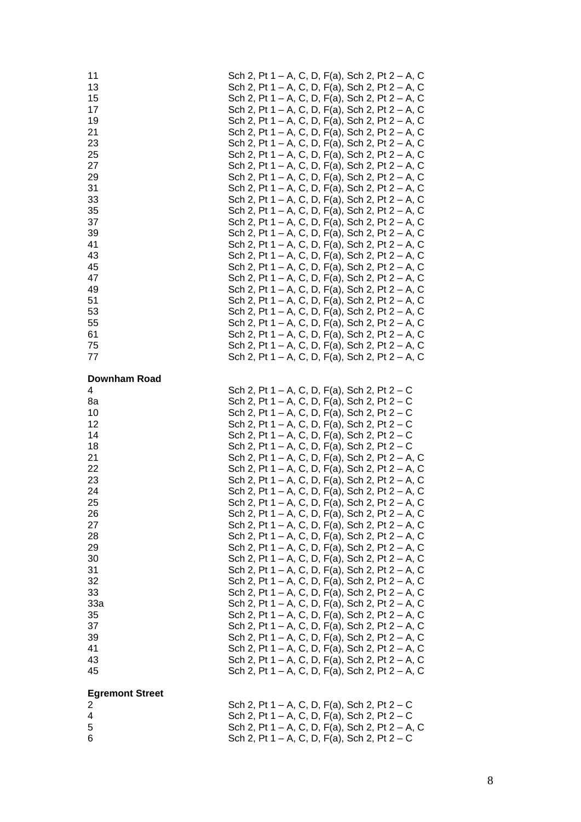| 11<br>13<br>15<br>17<br>19<br>21<br>23<br>25<br>27<br>29<br>31<br>33<br>35<br>37<br>39<br>41<br>43<br>45<br>47<br>49<br>51<br>53<br>55<br>61<br>75<br>77<br><b>Downham Road</b> | Sch 2, Pt 1 – A, C, D, F(a), Sch 2, Pt 2 – A, C<br>Sch 2, Pt 1 – A, C, D, F(a), Sch 2, Pt 2 – A, C<br>Sch 2, Pt 1 - A, C, D, F(a), Sch 2, Pt 2 - A, C<br>Sch 2, Pt 1 – A, C, D, F(a), Sch 2, Pt 2 – A, C<br>Sch 2, Pt 1 – A, C, D, F(a), Sch 2, Pt 2 – A, C<br>Sch 2, Pt 1 – A, C, D, F(a), Sch 2, Pt 2 – A, C<br>Sch 2, Pt 1 – A, C, D, F(a), Sch 2, Pt 2 – A, C<br>Sch 2, Pt 1 – A, C, D, F(a), Sch 2, Pt 2 – A, C<br>Sch 2, Pt 1 – A, C, D, F(a), Sch 2, Pt 2 – A, C<br>Sch 2, Pt 1 – A, C, D, F(a), Sch 2, Pt 2 – A, C<br>Sch 2, Pt 1 – A, C, D, F(a), Sch 2, Pt 2 – A, C<br>Sch 2, Pt 1 – A, C, D, F(a), Sch 2, Pt 2 – A, C<br>Sch 2, Pt 1 – A, C, D, F(a), Sch 2, Pt 2 – A, C<br>Sch 2, Pt 1 – A, C, D, F(a), Sch 2, Pt 2 – A, C<br>Sch 2, Pt 1 – A, C, D, F(a), Sch 2, Pt 2 – A, C<br>Sch 2, Pt 1 – A, C, D, F(a), Sch 2, Pt 2 – A, C<br>Sch 2, Pt 1 – A, C, D, F(a), Sch 2, Pt 2 – A, C<br>Sch 2, Pt 1 – A, C, D, F(a), Sch 2, Pt 2 – A, C<br>Sch 2, Pt 1 – A, C, D, F(a), Sch 2, Pt 2 – A, C<br>Sch 2, Pt 1 – A, C, D, F(a), Sch 2, Pt 2 – A, C<br>Sch 2, Pt 1 – A, C, D, F(a), Sch 2, Pt 2 – A, C<br>Sch 2, Pt 1 – A, C, D, F(a), Sch 2, Pt 2 – A, C<br>Sch 2, Pt 1 – A, C, D, F(a), Sch 2, Pt 2 – A, C<br>Sch 2, Pt 1 – A, C, D, F(a), Sch 2, Pt 2 – A, C<br>Sch 2, Pt 1 – A, C, D, F(a), Sch 2, Pt 2 – A, C<br>Sch 2, Pt 1 – A, C, D, F(a), Sch 2, Pt 2 – A, C |
|---------------------------------------------------------------------------------------------------------------------------------------------------------------------------------|----------------------------------------------------------------------------------------------------------------------------------------------------------------------------------------------------------------------------------------------------------------------------------------------------------------------------------------------------------------------------------------------------------------------------------------------------------------------------------------------------------------------------------------------------------------------------------------------------------------------------------------------------------------------------------------------------------------------------------------------------------------------------------------------------------------------------------------------------------------------------------------------------------------------------------------------------------------------------------------------------------------------------------------------------------------------------------------------------------------------------------------------------------------------------------------------------------------------------------------------------------------------------------------------------------------------------------------------------------------------------|
| 4<br>8a<br>10<br>12<br>14<br>18<br>21<br>22<br>23<br>24<br>25<br>26<br>27<br>28<br>29<br>30<br>31<br>32<br>33<br>33a<br>35<br>37<br>39<br>41<br>43<br>45                        | Sch 2, Pt 1 – A, C, D, F(a), Sch 2, Pt 2 – C<br>Sch 2, Pt 1 – A, C, D, F(a), Sch 2, Pt 2 – C<br>Sch 2, Pt 1 – A, C, D, F(a), Sch 2, Pt 2 – C<br>Sch 2, Pt 1 – A, C, D, F(a), Sch 2, Pt 2 – C<br>Sch 2, Pt 1 – A, C, D, F(a), Sch 2, Pt 2 – C<br>Sch 2, Pt 1 – A, C, D, F(a), Sch 2, Pt 2 – C<br>Sch 2, Pt 1 – A, C, D, F(a), Sch 2, Pt 2 – A, C<br>Sch 2, Pt 1 – A, C, D, F(a), Sch 2, Pt 2 – A, C<br>Sch 2, Pt 1 – A, C, D, F(a), Sch 2, Pt 2 – A, C<br>Sch 2, Pt 1 – A, C, D, F(a), Sch 2, Pt 2 – A, C<br>Sch 2, Pt 1 – A, C, D, F(a), Sch 2, Pt 2 – A, C<br>Sch 2, Pt 1 – A, C, D, F(a), Sch 2, Pt 2 – A, C<br>Sch 2, Pt 1 – A, C, D, F(a), Sch 2, Pt 2 – A, C<br>Sch 2, Pt 1 – A, C, D, F(a), Sch 2, Pt 2 – A, C<br>Sch 2, Pt 1 – A, C, D, F(a), Sch 2, Pt 2 – A, C<br>Sch 2, Pt 1 – A, C, D, F(a), Sch 2, Pt 2 – A, C<br>Sch 2, Pt 1 – A, C, D, F(a), Sch 2, Pt 2 – A, C<br>Sch 2, Pt 1 – A, C, D, F(a), Sch 2, Pt 2 – A, C<br>Sch 2, Pt 1 – A, C, D, F(a), Sch 2, Pt 2 – A, C<br>Sch 2, Pt 1 – A, C, D, F(a), Sch 2, Pt 2 – A, C<br>Sch 2, Pt 1 – A, C, D, F(a), Sch 2, Pt 2 – A, C<br>Sch 2, Pt 1 – A, C, D, F(a), Sch 2, Pt 2 – A, C<br>Sch 2, Pt 1 – A, C, D, F(a), Sch 2, Pt 2 – A, C<br>Sch 2, Pt 1 – A, C, D, F(a), Sch 2, Pt 2 – A, C<br>Sch 2, Pt 1 – A, C, D, F(a), Sch 2, Pt 2 – A, C<br>Sch 2, Pt 1 – A, C, D, F(a), Sch 2, Pt 2 – A, C                   |
| <b>Egremont Street</b><br>2<br>4<br>5                                                                                                                                           | Sch 2, Pt 1 – A, C, D, F(a), Sch 2, Pt 2 – C<br>Sch 2, Pt 1 – A, C, D, F(a), Sch 2, Pt 2 – C<br>Sch 2, Pt 1 – A, C, D, F(a), Sch 2, Pt 2 – A, C                                                                                                                                                                                                                                                                                                                                                                                                                                                                                                                                                                                                                                                                                                                                                                                                                                                                                                                                                                                                                                                                                                                                                                                                                            |
| 6                                                                                                                                                                               | Sch 2, Pt 1 – A, C, D, F(a), Sch 2, Pt 2 – C                                                                                                                                                                                                                                                                                                                                                                                                                                                                                                                                                                                                                                                                                                                                                                                                                                                                                                                                                                                                                                                                                                                                                                                                                                                                                                                               |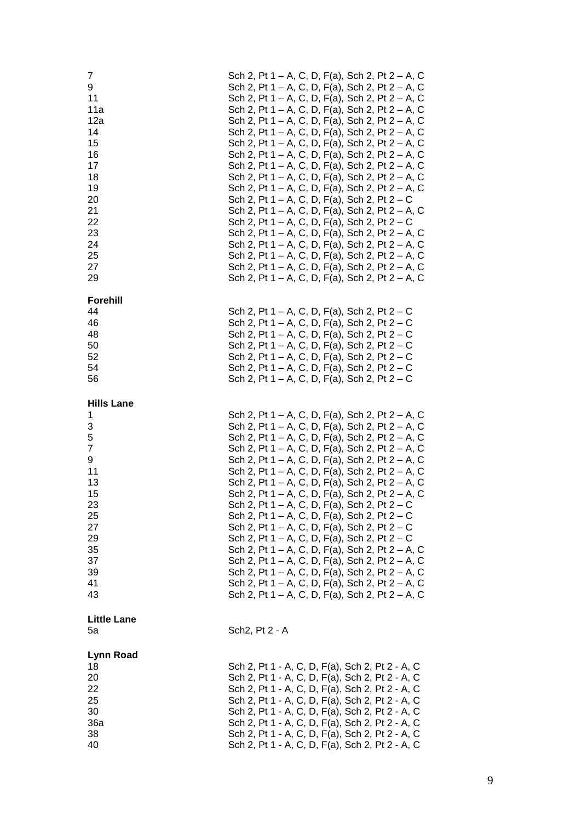| 7<br>9<br>11<br>11a<br>12a<br>14<br>15<br>16<br>17<br>18<br>19<br>20<br>21<br>22<br>23<br>24<br>25<br>27<br>29 | Sch 2, Pt 1 – A, C, D, F(a), Sch 2, Pt 2 – A, C<br>Sch 2, Pt 1 – A, C, D, F(a), Sch 2, Pt 2 – A, C<br>Sch 2, Pt 1 – A, C, D, F(a), Sch 2, Pt 2 – A, C<br>Sch 2, Pt 1 – A, C, D, F(a), Sch 2, Pt 2 – A, C<br>Sch 2, Pt 1 – A, C, D, F(a), Sch 2, Pt 2 – A, C<br>Sch 2, Pt 1 – A, C, D, F(a), Sch 2, Pt 2 – A, C<br>Sch 2, Pt 1 – A, C, D, F(a), Sch 2, Pt 2 – A, C<br>Sch 2, Pt 1 – A, C, D, F(a), Sch 2, Pt 2 – A, C<br>Sch 2, Pt 1 – A, C, D, F(a), Sch 2, Pt 2 – A, C<br>Sch 2, Pt 1 – A, C, D, F(a), Sch 2, Pt 2 – A, C<br>Sch 2, Pt 1 – A, C, D, F(a), Sch 2, Pt 2 – A, C<br>Sch 2, Pt 1 – A, C, D, F(a), Sch 2, Pt $2 - C$<br>Sch 2, Pt 1 – A, C, D, F(a), Sch 2, Pt 2 – A, C<br>Sch 2, Pt 1 – A, C, D, F(a), Sch 2, Pt 2 – C<br>Sch 2, Pt 1 – A, C, D, F(a), Sch 2, Pt 2 – A, C<br>Sch 2, Pt 1 – A, C, D, F(a), Sch 2, Pt 2 – A, C<br>Sch 2, Pt 1 – A, C, D, F(a), Sch 2, Pt 2 – A, C<br>Sch 2, Pt 1 – A, C, D, F(a), Sch 2, Pt 2 – A, C<br>Sch 2, Pt 1 – A, C, D, F(a), Sch 2, Pt 2 – A, C |
|----------------------------------------------------------------------------------------------------------------|---------------------------------------------------------------------------------------------------------------------------------------------------------------------------------------------------------------------------------------------------------------------------------------------------------------------------------------------------------------------------------------------------------------------------------------------------------------------------------------------------------------------------------------------------------------------------------------------------------------------------------------------------------------------------------------------------------------------------------------------------------------------------------------------------------------------------------------------------------------------------------------------------------------------------------------------------------------------------------------------------|
| <b>Forehill</b>                                                                                                |                                                                                                                                                                                                                                                                                                                                                                                                                                                                                                                                                                                                                                                                                                                                                                                                                                                                                                                                                                                                   |
| 44                                                                                                             | Sch 2, Pt 1 – A, C, D, F(a), Sch 2, Pt $2 - C$                                                                                                                                                                                                                                                                                                                                                                                                                                                                                                                                                                                                                                                                                                                                                                                                                                                                                                                                                    |
| 46<br>48                                                                                                       | Sch 2, Pt $1 - A$ , C, D, F(a), Sch 2, Pt $2 - C$<br>Sch 2, Pt 1 – A, C, D, F(a), Sch 2, Pt $2 - C$                                                                                                                                                                                                                                                                                                                                                                                                                                                                                                                                                                                                                                                                                                                                                                                                                                                                                               |
| 50                                                                                                             | Sch 2, Pt 1 – A, C, D, F(a), Sch 2, Pt $2 - C$                                                                                                                                                                                                                                                                                                                                                                                                                                                                                                                                                                                                                                                                                                                                                                                                                                                                                                                                                    |
| 52                                                                                                             | Sch 2, Pt 1 – A, C, D, F(a), Sch 2, Pt 2 – C                                                                                                                                                                                                                                                                                                                                                                                                                                                                                                                                                                                                                                                                                                                                                                                                                                                                                                                                                      |
| 54                                                                                                             | Sch 2, Pt $1 - A$ , C, D, F(a), Sch 2, Pt $2 - C$                                                                                                                                                                                                                                                                                                                                                                                                                                                                                                                                                                                                                                                                                                                                                                                                                                                                                                                                                 |
| 56                                                                                                             | Sch 2, Pt $1 - A$ , C, D, F(a), Sch 2, Pt $2 - C$                                                                                                                                                                                                                                                                                                                                                                                                                                                                                                                                                                                                                                                                                                                                                                                                                                                                                                                                                 |
| <b>Hills Lane</b>                                                                                              |                                                                                                                                                                                                                                                                                                                                                                                                                                                                                                                                                                                                                                                                                                                                                                                                                                                                                                                                                                                                   |
| 1                                                                                                              | Sch 2, Pt 1 – A, C, D, F(a), Sch 2, Pt 2 – A, C                                                                                                                                                                                                                                                                                                                                                                                                                                                                                                                                                                                                                                                                                                                                                                                                                                                                                                                                                   |
| 3<br>5                                                                                                         | Sch 2, Pt 1 – A, C, D, F(a), Sch 2, Pt 2 – A, C<br>Sch 2, Pt 1 – A, C, D, F(a), Sch 2, Pt 2 – A, C                                                                                                                                                                                                                                                                                                                                                                                                                                                                                                                                                                                                                                                                                                                                                                                                                                                                                                |
| $\overline{7}$                                                                                                 | Sch 2, Pt 1 – A, C, D, F(a), Sch 2, Pt 2 – A, C                                                                                                                                                                                                                                                                                                                                                                                                                                                                                                                                                                                                                                                                                                                                                                                                                                                                                                                                                   |
| 9                                                                                                              | Sch 2, Pt 1 – A, C, D, F(a), Sch 2, Pt 2 – A, C                                                                                                                                                                                                                                                                                                                                                                                                                                                                                                                                                                                                                                                                                                                                                                                                                                                                                                                                                   |
| 11                                                                                                             | Sch 2, Pt 1 – A, C, D, F(a), Sch 2, Pt 2 – A, C                                                                                                                                                                                                                                                                                                                                                                                                                                                                                                                                                                                                                                                                                                                                                                                                                                                                                                                                                   |
| 13<br>15                                                                                                       | Sch 2, Pt 1 – A, C, D, F(a), Sch 2, Pt 2 – A, C                                                                                                                                                                                                                                                                                                                                                                                                                                                                                                                                                                                                                                                                                                                                                                                                                                                                                                                                                   |
| 23                                                                                                             | Sch 2, Pt 1 – A, C, D, F(a), Sch 2, Pt 2 – A, C<br>Sch 2, Pt 1 – A, C, D, F(a), Sch 2, Pt 2 – C                                                                                                                                                                                                                                                                                                                                                                                                                                                                                                                                                                                                                                                                                                                                                                                                                                                                                                   |
| 25                                                                                                             | Sch 2, Pt 1 – A, C, D, F(a), Sch 2, Pt 2 – C                                                                                                                                                                                                                                                                                                                                                                                                                                                                                                                                                                                                                                                                                                                                                                                                                                                                                                                                                      |
| 27                                                                                                             | Sch 2, Pt $1 - A$ , C, D, F(a), Sch 2, Pt $2 - C$                                                                                                                                                                                                                                                                                                                                                                                                                                                                                                                                                                                                                                                                                                                                                                                                                                                                                                                                                 |
| 29                                                                                                             | Sch 2, Pt 1 – A, C, D, F(a), Sch 2, Pt $2 - C$                                                                                                                                                                                                                                                                                                                                                                                                                                                                                                                                                                                                                                                                                                                                                                                                                                                                                                                                                    |
| 35<br>37                                                                                                       | Sch 2, Pt 1 – A, C, D, F(a), Sch 2, Pt 2 – A, C<br>Sch 2, Pt 1 – A, C, D, F(a), Sch 2, Pt 2 – A, C                                                                                                                                                                                                                                                                                                                                                                                                                                                                                                                                                                                                                                                                                                                                                                                                                                                                                                |
| 39                                                                                                             | Sch 2, Pt 1 – A, C, D, F(a), Sch 2, Pt 2 – A, C                                                                                                                                                                                                                                                                                                                                                                                                                                                                                                                                                                                                                                                                                                                                                                                                                                                                                                                                                   |
| 41                                                                                                             | Sch 2, Pt 1 – A, C, D, F(a), Sch 2, Pt 2 – A, C                                                                                                                                                                                                                                                                                                                                                                                                                                                                                                                                                                                                                                                                                                                                                                                                                                                                                                                                                   |
| 43                                                                                                             | Sch 2, Pt 1 – A, C, D, F(a), Sch 2, Pt 2 – A, C                                                                                                                                                                                                                                                                                                                                                                                                                                                                                                                                                                                                                                                                                                                                                                                                                                                                                                                                                   |
| <b>Little Lane</b>                                                                                             |                                                                                                                                                                                                                                                                                                                                                                                                                                                                                                                                                                                                                                                                                                                                                                                                                                                                                                                                                                                                   |
| 5a                                                                                                             | Sch2, Pt 2 - A                                                                                                                                                                                                                                                                                                                                                                                                                                                                                                                                                                                                                                                                                                                                                                                                                                                                                                                                                                                    |
| <b>Lynn Road</b>                                                                                               |                                                                                                                                                                                                                                                                                                                                                                                                                                                                                                                                                                                                                                                                                                                                                                                                                                                                                                                                                                                                   |
| 18                                                                                                             | Sch 2, Pt 1 - A, C, D, F(a), Sch 2, Pt 2 - A, C                                                                                                                                                                                                                                                                                                                                                                                                                                                                                                                                                                                                                                                                                                                                                                                                                                                                                                                                                   |
| 20<br>22                                                                                                       | Sch 2, Pt 1 - A, C, D, F(a), Sch 2, Pt 2 - A, C<br>Sch 2, Pt 1 - A, C, D, F(a), Sch 2, Pt 2 - A, C                                                                                                                                                                                                                                                                                                                                                                                                                                                                                                                                                                                                                                                                                                                                                                                                                                                                                                |
| 25                                                                                                             | Sch 2, Pt 1 - A, C, D, F(a), Sch 2, Pt 2 - A, C                                                                                                                                                                                                                                                                                                                                                                                                                                                                                                                                                                                                                                                                                                                                                                                                                                                                                                                                                   |
| 30                                                                                                             | Sch 2, Pt 1 - A, C, D, F(a), Sch 2, Pt 2 - A, C                                                                                                                                                                                                                                                                                                                                                                                                                                                                                                                                                                                                                                                                                                                                                                                                                                                                                                                                                   |
| 36a                                                                                                            | Sch 2, Pt 1 - A, C, D, F(a), Sch 2, Pt 2 - A, C                                                                                                                                                                                                                                                                                                                                                                                                                                                                                                                                                                                                                                                                                                                                                                                                                                                                                                                                                   |
| 38<br>40                                                                                                       | Sch 2, Pt 1 - A, C, D, F(a), Sch 2, Pt 2 - A, C<br>Sch 2, Pt 1 - A, C, D, F(a), Sch 2, Pt 2 - A, C                                                                                                                                                                                                                                                                                                                                                                                                                                                                                                                                                                                                                                                                                                                                                                                                                                                                                                |
|                                                                                                                |                                                                                                                                                                                                                                                                                                                                                                                                                                                                                                                                                                                                                                                                                                                                                                                                                                                                                                                                                                                                   |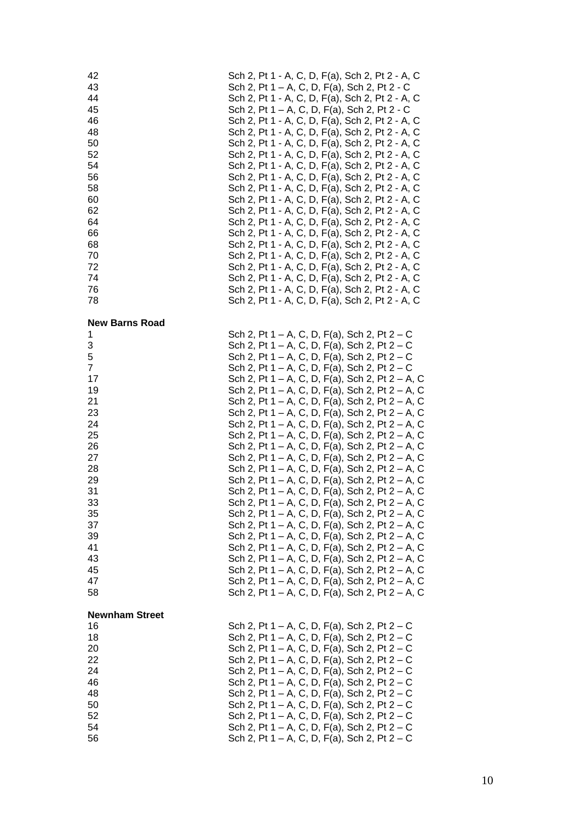| 42                                                                                      | Sch 2, Pt 1 - A, C, D, F(a), Sch 2, Pt 2 - A, C                                                                                                                                                                                                                                                                                                                                                                                                                                                                                                                       |
|-----------------------------------------------------------------------------------------|-----------------------------------------------------------------------------------------------------------------------------------------------------------------------------------------------------------------------------------------------------------------------------------------------------------------------------------------------------------------------------------------------------------------------------------------------------------------------------------------------------------------------------------------------------------------------|
| 43                                                                                      | Sch 2, Pt 1 – A, C, D, F(a), Sch 2, Pt 2 - C                                                                                                                                                                                                                                                                                                                                                                                                                                                                                                                          |
| 44                                                                                      | Sch 2, Pt 1 - A, C, D, F(a), Sch 2, Pt 2 - A, C                                                                                                                                                                                                                                                                                                                                                                                                                                                                                                                       |
| 45                                                                                      | Sch 2, Pt 1 – A, C, D, F(a), Sch 2, Pt 2 - C                                                                                                                                                                                                                                                                                                                                                                                                                                                                                                                          |
| 46                                                                                      | Sch 2, Pt 1 - A, C, D, F(a), Sch 2, Pt 2 - A, C                                                                                                                                                                                                                                                                                                                                                                                                                                                                                                                       |
| 48                                                                                      | Sch 2, Pt 1 - A, C, D, F(a), Sch 2, Pt 2 - A, C                                                                                                                                                                                                                                                                                                                                                                                                                                                                                                                       |
| 50                                                                                      | Sch 2, Pt 1 - A, C, D, F(a), Sch 2, Pt 2 - A, C                                                                                                                                                                                                                                                                                                                                                                                                                                                                                                                       |
| 52                                                                                      | Sch 2, Pt 1 - A, C, D, F(a), Sch 2, Pt 2 - A, C                                                                                                                                                                                                                                                                                                                                                                                                                                                                                                                       |
| 54                                                                                      | Sch 2, Pt 1 - A, C, D, F(a), Sch 2, Pt 2 - A, C                                                                                                                                                                                                                                                                                                                                                                                                                                                                                                                       |
| 56                                                                                      | Sch 2, Pt 1 - A, C, D, F(a), Sch 2, Pt 2 - A, C                                                                                                                                                                                                                                                                                                                                                                                                                                                                                                                       |
| 58                                                                                      | Sch 2, Pt 1 - A, C, D, F(a), Sch 2, Pt 2 - A, C                                                                                                                                                                                                                                                                                                                                                                                                                                                                                                                       |
| 60                                                                                      | Sch 2, Pt 1 - A, C, D, F(a), Sch 2, Pt 2 - A, C                                                                                                                                                                                                                                                                                                                                                                                                                                                                                                                       |
| 62                                                                                      | Sch 2, Pt 1 - A, C, D, F(a), Sch 2, Pt 2 - A, C                                                                                                                                                                                                                                                                                                                                                                                                                                                                                                                       |
| 64                                                                                      | Sch 2, Pt 1 - A, C, D, F(a), Sch 2, Pt 2 - A, C                                                                                                                                                                                                                                                                                                                                                                                                                                                                                                                       |
| 66                                                                                      | Sch 2, Pt 1 - A, C, D, F(a), Sch 2, Pt 2 - A, C                                                                                                                                                                                                                                                                                                                                                                                                                                                                                                                       |
| 68                                                                                      | Sch 2, Pt 1 - A, C, D, F(a), Sch 2, Pt 2 - A, C                                                                                                                                                                                                                                                                                                                                                                                                                                                                                                                       |
| 70                                                                                      | Sch 2, Pt 1 - A, C, D, F(a), Sch 2, Pt 2 - A, C                                                                                                                                                                                                                                                                                                                                                                                                                                                                                                                       |
| 72                                                                                      | Sch 2, Pt 1 - A, C, D, F(a), Sch 2, Pt 2 - A, C                                                                                                                                                                                                                                                                                                                                                                                                                                                                                                                       |
| 74                                                                                      | Sch 2, Pt 1 - A, C, D, F(a), Sch 2, Pt 2 - A, C                                                                                                                                                                                                                                                                                                                                                                                                                                                                                                                       |
| 76                                                                                      | Sch 2, Pt 1 - A, C, D, F(a), Sch 2, Pt 2 - A, C                                                                                                                                                                                                                                                                                                                                                                                                                                                                                                                       |
| 78                                                                                      | Sch 2, Pt 1 - A, C, D, F(a), Sch 2, Pt 2 - A, C                                                                                                                                                                                                                                                                                                                                                                                                                                                                                                                       |
| <b>New Barns Road</b>                                                                   |                                                                                                                                                                                                                                                                                                                                                                                                                                                                                                                                                                       |
| 1                                                                                       | Sch 2, Pt 1 – A, C, D, F(a), Sch 2, Pt 2 – C                                                                                                                                                                                                                                                                                                                                                                                                                                                                                                                          |
| 3                                                                                       | Sch 2, Pt 1 – A, C, D, F(a), Sch 2, Pt $2 - C$                                                                                                                                                                                                                                                                                                                                                                                                                                                                                                                        |
| 5                                                                                       | Sch 2, Pt 1 – A, C, D, F(a), Sch 2, Pt 2 – C                                                                                                                                                                                                                                                                                                                                                                                                                                                                                                                          |
| 7                                                                                       | Sch 2, Pt 1 – A, C, D, F(a), Sch 2, Pt 2 – C                                                                                                                                                                                                                                                                                                                                                                                                                                                                                                                          |
| 17                                                                                      | Sch 2, Pt 1 – A, C, D, F(a), Sch 2, Pt 2 – A, C                                                                                                                                                                                                                                                                                                                                                                                                                                                                                                                       |
| 19                                                                                      | Sch 2, Pt 1 – A, C, D, F(a), Sch 2, Pt 2 – A, C                                                                                                                                                                                                                                                                                                                                                                                                                                                                                                                       |
| 21                                                                                      | Sch 2, Pt 1 – A, C, D, F(a), Sch 2, Pt 2 – A, C                                                                                                                                                                                                                                                                                                                                                                                                                                                                                                                       |
| 23                                                                                      | Sch 2, Pt 1 – A, C, D, F(a), Sch 2, Pt 2 – A, C                                                                                                                                                                                                                                                                                                                                                                                                                                                                                                                       |
| 24                                                                                      | Sch 2, Pt 1 – A, C, D, F(a), Sch 2, Pt 2 – A, C                                                                                                                                                                                                                                                                                                                                                                                                                                                                                                                       |
| 25                                                                                      | Sch 2, Pt 1 – A, C, D, F(a), Sch 2, Pt 2 – A, C                                                                                                                                                                                                                                                                                                                                                                                                                                                                                                                       |
| 26                                                                                      | Sch 2, Pt 1 – A, C, D, F(a), Sch 2, Pt 2 – A, C                                                                                                                                                                                                                                                                                                                                                                                                                                                                                                                       |
| 27                                                                                      | Sch 2, Pt 1 – A, C, D, F(a), Sch 2, Pt 2 – A, C                                                                                                                                                                                                                                                                                                                                                                                                                                                                                                                       |
| 28                                                                                      | Sch 2, Pt 1 – A, C, D, F(a), Sch 2, Pt 2 – A, C                                                                                                                                                                                                                                                                                                                                                                                                                                                                                                                       |
| 29                                                                                      | Sch 2, Pt 1 – A, C, D, F(a), Sch 2, Pt 2 – A, C                                                                                                                                                                                                                                                                                                                                                                                                                                                                                                                       |
| 31                                                                                      | Sch 2, Pt 1 – A, C, D, F(a), Sch 2, Pt 2 – A, C                                                                                                                                                                                                                                                                                                                                                                                                                                                                                                                       |
| 33                                                                                      | Sch 2, Pt 1 – A, C, D, F(a), Sch 2, Pt 2 – A, C                                                                                                                                                                                                                                                                                                                                                                                                                                                                                                                       |
| 35                                                                                      | Sch 2, Pt 1 – A, C, D, F(a), Sch 2, Pt 2 – A, C                                                                                                                                                                                                                                                                                                                                                                                                                                                                                                                       |
| 37                                                                                      | Sch 2, Pt 1 – A, C, D, F(a), Sch 2, Pt 2 – A, C                                                                                                                                                                                                                                                                                                                                                                                                                                                                                                                       |
| 39                                                                                      | Sch 2, Pt 1 - A, C, D, F(a), Sch 2, Pt 2 - A, C                                                                                                                                                                                                                                                                                                                                                                                                                                                                                                                       |
| 41                                                                                      | Sch 2, Pt 1 – A, C, D, F(a), Sch 2, Pt 2 – A, C                                                                                                                                                                                                                                                                                                                                                                                                                                                                                                                       |
| 43                                                                                      | Sch 2, Pt 1 – A, C, D, F(a), Sch 2, Pt 2 – A, C                                                                                                                                                                                                                                                                                                                                                                                                                                                                                                                       |
| 45                                                                                      | Sch 2, Pt 1 – A, C, D, F(a), Sch 2, Pt 2 – A, C                                                                                                                                                                                                                                                                                                                                                                                                                                                                                                                       |
| 47                                                                                      | Sch 2, Pt 1 – A, C, D, F(a), Sch 2, Pt 2 – A, C                                                                                                                                                                                                                                                                                                                                                                                                                                                                                                                       |
| 58                                                                                      | Sch 2, Pt 1 – A, C, D, F(a), Sch 2, Pt 2 – A, C                                                                                                                                                                                                                                                                                                                                                                                                                                                                                                                       |
| <b>Newnham Street</b><br>16<br>18<br>20<br>22<br>24<br>46<br>48<br>50<br>52<br>54<br>56 | Sch 2, Pt 1 – A, C, D, F(a), Sch 2, Pt $2 - C$<br>Sch 2, Pt $1 - A$ , C, D, F(a), Sch 2, Pt $2 - C$<br>Sch 2, Pt 1 – A, C, D, F(a), Sch 2, Pt 2 – C<br>Sch 2, Pt 1 – A, C, D, F(a), Sch 2, Pt 2 – C<br>Sch 2, Pt 1 – A, C, D, F(a), Sch 2, Pt $2 - C$<br>Sch 2, Pt 1 – A, C, D, F(a), Sch 2, Pt $2 - C$<br>Sch 2, Pt 1 – A, C, D, F(a), Sch 2, Pt $2 - C$<br>Sch 2, Pt 1 – A, C, D, F(a), Sch 2, Pt 2 – C<br>Sch 2, Pt $1 - A$ , C, D, F(a), Sch 2, Pt $2 - C$<br>Sch 2, Pt 1 – A, C, D, F(a), Sch 2, Pt $2 - C$<br>Sch 2, Pt $1 - A$ , C, D, F(a), Sch 2, Pt $2 - C$ |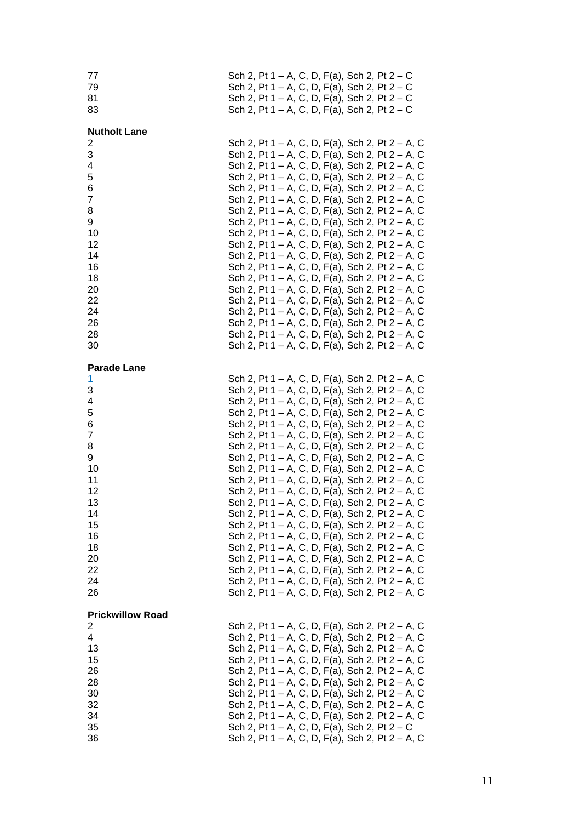| 77<br>79<br>81<br>83                                                                                                                            | Sch 2, Pt 1 – A, C, D, F(a), Sch 2, Pt $2 - C$<br>Sch 2, Pt $1 - A$ , C, D, F(a), Sch 2, Pt $2 - C$<br>Sch 2, Pt $1 - A$ , C, D, F(a), Sch 2, Pt $2 - C$<br>Sch 2, Pt $1 - A$ , C, D, F(a), Sch 2, Pt $2 - C$                                                                                                                                                                                                                                                                                                                                                                                                                                                                                                                                                                                                                                                                                                                                                                                                                                            |
|-------------------------------------------------------------------------------------------------------------------------------------------------|----------------------------------------------------------------------------------------------------------------------------------------------------------------------------------------------------------------------------------------------------------------------------------------------------------------------------------------------------------------------------------------------------------------------------------------------------------------------------------------------------------------------------------------------------------------------------------------------------------------------------------------------------------------------------------------------------------------------------------------------------------------------------------------------------------------------------------------------------------------------------------------------------------------------------------------------------------------------------------------------------------------------------------------------------------|
| <b>Nutholt Lane</b><br>2<br>3<br>4<br>5<br>6<br>$\overline{7}$<br>8<br>9<br>10<br>12<br>14<br>16<br>18<br>20<br>22<br>24<br>26<br>28<br>30      | Sch 2, Pt 1 – A, C, D, F(a), Sch 2, Pt 2 – A, C<br>Sch 2, Pt 1 – A, C, D, F(a), Sch 2, Pt 2 – A, C<br>Sch 2, Pt 1 – A, C, D, F(a), Sch 2, Pt 2 – A, C<br>Sch 2, Pt 1 – A, C, D, F(a), Sch 2, Pt 2 – A, C<br>Sch 2, Pt 1 – A, C, D, F(a), Sch 2, Pt 2 – A, C<br>Sch 2, Pt 1 – A, C, D, F(a), Sch 2, Pt 2 – A, C<br>Sch 2, Pt 1 – A, C, D, F(a), Sch 2, Pt 2 – A, C<br>Sch 2, Pt 1 – A, C, D, F(a), Sch 2, Pt 2 – A, C<br>Sch 2, Pt 1 – A, C, D, F(a), Sch 2, Pt 2 – A, C<br>Sch 2, Pt 1 – A, C, D, F(a), Sch 2, Pt 2 – A, C<br>Sch 2, Pt 1 – A, C, D, F(a), Sch 2, Pt 2 – A, C<br>Sch 2, Pt 1 – A, C, D, F(a), Sch 2, Pt 2 – A, C<br>Sch 2, Pt 1 – A, C, D, F(a), Sch 2, Pt 2 – A, C<br>Sch 2, Pt 1 – A, C, D, F(a), Sch 2, Pt 2 – A, C<br>Sch 2, Pt 1 – A, C, D, F(a), Sch 2, Pt 2 – A, C<br>Sch 2, Pt 1 – A, C, D, F(a), Sch 2, Pt 2 – A, C<br>Sch 2, Pt 1 – A, C, D, F(a), Sch 2, Pt 2 – A, C<br>Sch 2, Pt 1 – A, C, D, F(a), Sch 2, Pt 2 – A, C<br>Sch 2, Pt 1 – A, C, D, F(a), Sch 2, Pt 2 – A, C                                                    |
| <b>Parade Lane</b><br>1<br>3<br>4<br>5<br>6<br>$\overline{7}$<br>8<br>9<br>10<br>11<br>12<br>13<br>14<br>15<br>16<br>18<br>20<br>22<br>24<br>26 | Sch 2, Pt 1 – A, C, D, F(a), Sch 2, Pt 2 – A, C<br>Sch 2, Pt 1 – A, C, D, F(a), Sch 2, Pt 2 – A, C<br>Sch 2, Pt 1 – A, C, D, F(a), Sch 2, Pt 2 – A, C<br>Sch 2, Pt 1 – A, C, D, F(a), Sch 2, Pt 2 – A, C<br>Sch 2, Pt 1 – A, C, D, F(a), Sch 2, Pt 2 – A, C<br>Sch 2, Pt 1 – A, C, D, F(a), Sch 2, Pt 2 – A, C<br>Sch 2, Pt 1 – A, C, D, F(a), Sch 2, Pt 2 – A, C<br>Sch 2, Pt 1 – A, C, D, F(a), Sch 2, Pt 2 – A, C<br>Sch 2, Pt 1 – A, C, D, F(a), Sch 2, Pt 2 – A, C<br>Sch 2, Pt 1 – A, C, D, F(a), Sch 2, Pt 2 – A, C<br>Sch 2, Pt 1 – A, C, D, F(a), Sch 2, Pt 2 – A, C<br>Sch 2, Pt 1 – A, C, D, F(a), Sch 2, Pt 2 – A, C<br>Sch 2, Pt 1 – A, C, D, F(a), Sch 2, Pt 2 – A, C<br>Sch 2, Pt 1 – A, C, D, F(a), Sch 2, Pt 2 – A, C<br>Sch 2, Pt 1 – A, C, D, F(a), Sch 2, Pt 2 – A, C<br>Sch 2, Pt 1 – A, C, D, F(a), Sch 2, Pt 2 – A, C<br>Sch 2, Pt 1 – A, C, D, F(a), Sch 2, Pt 2 – A, C<br>Sch 2, Pt 1 – A, C, D, F(a), Sch 2, Pt 2 – A, C<br>Sch 2, Pt 1 – A, C, D, F(a), Sch 2, Pt 2 – A, C<br>Sch 2, Pt 1 – A, C, D, F(a), Sch 2, Pt 2 – A, C |
| <b>Prickwillow Road</b><br>2<br>4<br>13<br>15<br>26<br>28<br>30<br>32<br>34<br>35<br>36                                                         | Sch 2, Pt 1 – A, C, D, F(a), Sch 2, Pt 2 – A, C<br>Sch 2, Pt 1 – A, C, D, F(a), Sch 2, Pt 2 – A, C<br>Sch 2, Pt 1 – A, C, D, F(a), Sch 2, Pt 2 – A, C<br>Sch 2, Pt 1 – A, C, D, F(a), Sch 2, Pt 2 – A, C<br>Sch 2, Pt 1 – A, C, D, F(a), Sch 2, Pt 2 – A, C<br>Sch 2, Pt 1 – A, C, D, F(a), Sch 2, Pt 2 – A, C<br>Sch 2, Pt 1 – A, C, D, F(a), Sch 2, Pt 2 – A, C<br>Sch 2, Pt 1 – A, C, D, F(a), Sch 2, Pt 2 – A, C<br>Sch 2, Pt 1 – A, C, D, F(a), Sch 2, Pt 2 – A, C<br>Sch 2, Pt 1 – A, C, D, F(a), Sch 2, Pt 2 – C<br>Sch 2, Pt 1 – A, C, D, F(a), Sch 2, Pt 2 – A, C                                                                                                                                                                                                                                                                                                                                                                                                                                                                               |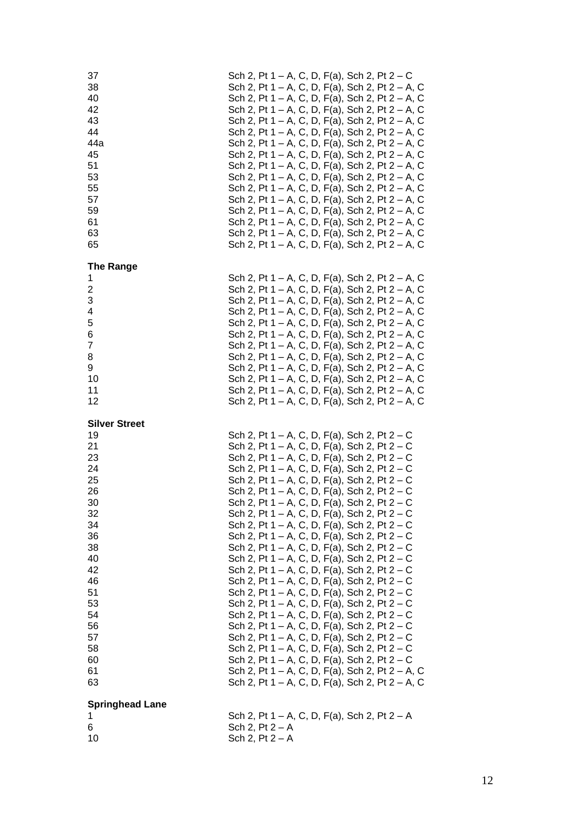| 37<br>38<br>40<br>42<br>43<br>44<br>44a<br>45<br>51<br>53<br>55<br>57<br>59<br>61<br>63<br>65                                                                  |                                        |  |  |  | Sch 2, Pt 1 – A, C, D, F(a), Sch 2, Pt 2 – C<br>Sch 2, Pt 1 – A, C, D, F(a), Sch 2, Pt 2 – A, C<br>Sch 2, Pt 1 – A, C, D, F(a), Sch 2, Pt 2 – A, C<br>Sch 2, Pt 1 – A, C, D, F(a), Sch 2, Pt 2 – A, C<br>Sch 2, Pt 1 – A, C, D, F(a), Sch 2, Pt 2 – A, C<br>Sch 2, Pt 1 – A, C, D, F(a), Sch 2, Pt 2 – A, C<br>Sch 2, Pt 1 – A, C, D, F(a), Sch 2, Pt 2 – A, C<br>Sch 2, Pt 1 – A, C, D, F(a), Sch 2, Pt 2 – A, C<br>Sch 2, Pt 1 – A, C, D, F(a), Sch 2, Pt 2 – A, C<br>Sch 2, Pt 1 – A, C, D, F(a), Sch 2, Pt 2 – A, C<br>Sch 2, Pt 1 – A, C, D, F(a), Sch 2, Pt 2 – A, C<br>Sch 2, Pt 1 – A, C, D, F(a), Sch 2, Pt 2 – A, C<br>Sch 2, Pt 1 – A, C, D, F(a), Sch 2, Pt 2 – A, C<br>Sch 2, Pt 1 – A, C, D, F(a), Sch 2, Pt 2 – A, C<br>Sch 2, Pt 1 – A, C, D, F(a), Sch 2, Pt 2 – A, C<br>Sch 2, Pt 1 – A, C, D, F(a), Sch 2, Pt 2 – A, C                                                                                                                                                                                                                                                                                                                          |  |  |  |
|----------------------------------------------------------------------------------------------------------------------------------------------------------------|----------------------------------------|--|--|--|--------------------------------------------------------------------------------------------------------------------------------------------------------------------------------------------------------------------------------------------------------------------------------------------------------------------------------------------------------------------------------------------------------------------------------------------------------------------------------------------------------------------------------------------------------------------------------------------------------------------------------------------------------------------------------------------------------------------------------------------------------------------------------------------------------------------------------------------------------------------------------------------------------------------------------------------------------------------------------------------------------------------------------------------------------------------------------------------------------------------------------------------------------------------|--|--|--|
| <b>The Range</b><br>1<br>$\overline{\mathbf{c}}$<br>3<br>4<br>5<br>6<br>$\overline{7}$<br>8<br>9<br>10<br>11<br>12                                             |                                        |  |  |  | Sch 2, Pt 1 – A, C, D, F(a), Sch 2, Pt 2 – A, C<br>Sch 2, Pt 1 – A, C, D, F(a), Sch 2, Pt 2 – A, C<br>Sch 2, Pt 1 – A, C, D, F(a), Sch 2, Pt 2 – A, C<br>Sch 2, Pt 1 – A, C, D, F(a), Sch 2, Pt 2 – A, C<br>Sch 2, Pt 1 – A, C, D, F(a), Sch 2, Pt 2 – A, C<br>Sch 2, Pt 1 – A, C, D, F(a), Sch 2, Pt 2 – A, C<br>Sch 2, Pt 1 – A, C, D, F(a), Sch 2, Pt 2 – A, C<br>Sch 2, Pt 1 – A, C, D, F(a), Sch 2, Pt 2 – A, C<br>Sch 2, Pt 1 – A, C, D, F(a), Sch 2, Pt 2 – A, C<br>Sch 2, Pt 1 – A, C, D, F(a), Sch 2, Pt 2 – A, C<br>Sch 2, Pt 1 – A, C, D, F(a), Sch 2, Pt 2 – A, C<br>Sch 2, Pt 1 – A, C, D, F(a), Sch 2, Pt 2 – A, C                                                                                                                                                                                                                                                                                                                                                                                                                                                                                                                                   |  |  |  |
| <b>Silver Street</b><br>19<br>21<br>23<br>24<br>25<br>26<br>30<br>32<br>34<br>36<br>38<br>40<br>42<br>46<br>51<br>53<br>54<br>56<br>57<br>58<br>60<br>61<br>63 |                                        |  |  |  | Sch 2, Pt 1 – A, C, D, F(a), Sch 2, Pt 2 – C<br>Sch 2, Pt 1 – A, C, D, F(a), Sch 2, Pt $2 - C$<br>Sch 2, Pt 1 - A, C, D, F(a), Sch 2, Pt 2 - C<br>Sch 2, Pt 1 – A, C, D, F(a), Sch 2, Pt 2 – C<br>Sch 2, Pt 1 – A, C, D, F(a), Sch 2, Pt 2 – C<br>Sch 2, Pt 1 – A, C, D, F(a), Sch 2, Pt 2 – C<br>Sch 2, Pt 1 – A, C, D, F(a), Sch 2, Pt 2 – C<br>Sch 2, Pt 1 – A, C, D, F(a), Sch 2, Pt 2 – C<br>Sch 2, Pt 1 – A, C, D, F(a), Sch 2, Pt 2 – C<br>Sch 2, Pt 1 – A, C, D, F(a), Sch 2, Pt 2 – C<br>Sch 2, Pt 1 – A, C, D, F(a), Sch 2, Pt 2 – C<br>Sch 2, Pt 1 – A, C, D, F(a), Sch 2, Pt $2 - C$<br>Sch 2, Pt 1 - A, C, D, F(a), Sch 2, Pt 2 - C<br>Sch 2, Pt 1 – A, C, D, F(a), Sch 2, Pt $2 - C$<br>Sch 2, Pt $1 - A$ , C, D, F(a), Sch 2, Pt $2 - C$<br>Sch 2, Pt $1 - A$ , C, D, F(a), Sch 2, Pt $2 - C$<br>Sch 2, Pt 1 – A, C, D, F(a), Sch 2, Pt 2 – C<br>Sch 2, Pt 1 – A, C, D, F(a), Sch 2, Pt 2 – C<br>Sch 2, Pt 1 – A, C, D, F(a), Sch 2, Pt 2 – C<br>Sch 2, Pt 1 – A, C, D, F(a), Sch 2, Pt 2 – C<br>Sch 2, Pt 1 – A, C, D, F(a), Sch 2, Pt 2 – C<br>Sch 2, Pt 1 – A, C, D, F(a), Sch 2, Pt 2 – A, C<br>Sch 2, Pt 1 – A, C, D, F(a), Sch 2, Pt 2 – A, C |  |  |  |
| <b>Springhead Lane</b><br>1<br>6<br>10                                                                                                                         | Sch 2, $Pt 2 - A$<br>Sch 2, $Pt 2 - A$ |  |  |  | Sch 2, Pt 1 – A, C, D, F(a), Sch 2, Pt 2 – A                                                                                                                                                                                                                                                                                                                                                                                                                                                                                                                                                                                                                                                                                                                                                                                                                                                                                                                                                                                                                                                                                                                       |  |  |  |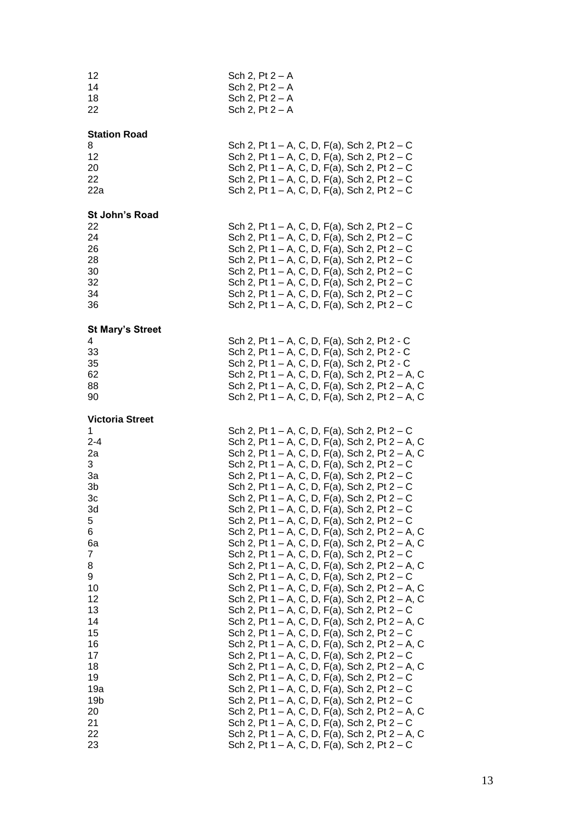| 12<br>14<br>18<br>22                                                                                                                                                                                             | Sch 2, $Pt 2 - A$<br>Sch 2, $Pt 2 - A$<br>Sch 2, $Pt 2 - A$<br>Sch 2, $Pt 2 - A$                                                                                                                                                                                                                                                                                                                                                                                                                                                                                                                                                                                                                                                                                                                                                                                                                                                                                                                                                                                                                                                                                                                                                                                                                                                                                                                                                                                                                                            |  |  |  |  |  |  |
|------------------------------------------------------------------------------------------------------------------------------------------------------------------------------------------------------------------|-----------------------------------------------------------------------------------------------------------------------------------------------------------------------------------------------------------------------------------------------------------------------------------------------------------------------------------------------------------------------------------------------------------------------------------------------------------------------------------------------------------------------------------------------------------------------------------------------------------------------------------------------------------------------------------------------------------------------------------------------------------------------------------------------------------------------------------------------------------------------------------------------------------------------------------------------------------------------------------------------------------------------------------------------------------------------------------------------------------------------------------------------------------------------------------------------------------------------------------------------------------------------------------------------------------------------------------------------------------------------------------------------------------------------------------------------------------------------------------------------------------------------------|--|--|--|--|--|--|
| <b>Station Road</b><br>8<br>12<br>20<br>22<br>22a                                                                                                                                                                | Sch 2, Pt 1 – A, C, D, F(a), Sch 2, Pt $2 - C$<br>Sch 2, Pt $1 - A$ , C, D, F(a), Sch 2, Pt $2 - C$<br>Sch 2, Pt $1 - A$ , C, D, F(a), Sch 2, Pt $2 - C$<br>Sch 2, Pt $1 - A$ , C, D, F(a), Sch 2, Pt $2 - C$<br>Sch 2, Pt 1 – A, C, D, F(a), Sch 2, Pt $2 - C$                                                                                                                                                                                                                                                                                                                                                                                                                                                                                                                                                                                                                                                                                                                                                                                                                                                                                                                                                                                                                                                                                                                                                                                                                                                             |  |  |  |  |  |  |
| St John's Road<br>22<br>24<br>26<br>28<br>30<br>32<br>34<br>36                                                                                                                                                   | Sch 2, Pt $1 - A$ , C, D, F(a), Sch 2, Pt $2 - C$<br>Sch 2, Pt $1 - A$ , C, D, F(a), Sch 2, Pt $2 - C$<br>Sch 2, Pt $1 - A$ , C, D, F(a), Sch 2, Pt $2 - C$<br>Sch 2, Pt 1 – A, C, D, F(a), Sch 2, Pt 2 – C<br>Sch 2, Pt 1 – A, C, D, F(a), Sch 2, Pt 2 – C<br>Sch 2, Pt 1 – A, C, D, F(a), Sch 2, Pt $2 - C$<br>Sch 2, Pt 1 – A, C, D, F(a), Sch 2, Pt $2 - C$<br>Sch 2, Pt 1 – A, C, D, F(a), Sch 2, Pt $2 - C$                                                                                                                                                                                                                                                                                                                                                                                                                                                                                                                                                                                                                                                                                                                                                                                                                                                                                                                                                                                                                                                                                                           |  |  |  |  |  |  |
| <b>St Mary's Street</b><br>4<br>33<br>35<br>62<br>88<br>90                                                                                                                                                       | Sch 2, Pt 1 – A, C, D, F(a), Sch 2, Pt 2 - C<br>Sch 2, Pt 1 – A, C, D, F(a), Sch 2, Pt 2 - C<br>Sch 2, Pt 1 – A, C, D, F(a), Sch 2, Pt 2 - C<br>Sch 2, Pt 1 – A, C, D, F(a), Sch 2, Pt 2 – A, C<br>Sch 2, Pt 1 – A, C, D, F(a), Sch 2, Pt 2 – A, C<br>Sch 2, Pt 1 – A, C, D, F(a), Sch 2, Pt 2 – A, C                                                                                                                                                                                                                                                                                                                                                                                                                                                                                                                                                                                                                                                                                                                                                                                                                                                                                                                                                                                                                                                                                                                                                                                                                       |  |  |  |  |  |  |
| <b>Victoria Street</b><br>1<br>$2 - 4$<br>2a<br>3<br>За<br>3b<br>3c<br>3d<br>5<br>6<br>6a<br>7<br>8<br>9<br>10<br>12<br>13<br>14<br>15<br>16<br>17<br>18<br>19<br>19a<br>19 <sub>b</sub><br>20<br>21<br>22<br>23 | Sch 2, Pt $1 - A$ , C, D, F(a), Sch 2, Pt $2 - C$<br>Sch 2, Pt 1 – A, C, D, F(a), Sch 2, Pt 2 – A, C<br>Sch 2, Pt 1 – A, C, D, F(a), Sch 2, Pt 2 – A, C<br>Sch 2, Pt 1 – A, C, D, F(a), Sch 2, Pt $2 - C$<br>Sch 2, Pt 1 – A, C, D, F(a), Sch 2, Pt $2 - C$<br>Sch 2, Pt 1 – A, C, D, F(a), Sch 2, Pt $2 - C$<br>Sch 2, Pt $1 - A$ , C, D, F(a), Sch 2, Pt $2 - C$<br>Sch 2, Pt 1 – A, C, D, F(a), Sch 2, Pt 2 – C<br>Sch 2, Pt 1 – A, C, D, F(a), Sch 2, Pt 2 – C<br>Sch 2, Pt 1 – A, C, D, F(a), Sch 2, Pt 2 – A, C<br>Sch 2, Pt 1 – A, C, D, F(a), Sch 2, Pt 2 – A, C<br>Sch 2, Pt 1 – A, C, D, F(a), Sch 2, Pt 2 – C<br>Sch 2, Pt 1 – A, C, D, F(a), Sch 2, Pt 2 – A, C<br>Sch 2, Pt 1 – A, C, D, F(a), Sch 2, Pt $2 - C$<br>Sch 2, Pt 1 – A, C, D, F(a), Sch 2, Pt 2 – A, C<br>Sch 2, Pt 1 – A, C, D, F(a), Sch 2, Pt 2 – A, C<br>Sch 2, Pt $1 - A$ , C, D, F(a), Sch 2, Pt $2 - C$<br>Sch 2, Pt 1 – A, C, D, F(a), Sch 2, Pt 2 – A, C<br>Sch 2, Pt $1 - A$ , C, D, F(a), Sch 2, Pt $2 - C$<br>Sch 2, Pt 1 – A, C, D, F(a), Sch 2, Pt 2 – A, C<br>Sch 2, Pt $1 - A$ , C, D, F(a), Sch 2, Pt $2 - C$<br>Sch 2, Pt 1 – A, C, D, F(a), Sch 2, Pt 2 – A, C<br>Sch 2, Pt 1 – A, C, D, F(a), Sch 2, Pt 2 – C<br>Sch 2, Pt 1 – A, C, D, F(a), Sch 2, Pt 2 – C<br>Sch 2, Pt $1 - A$ , C, D, F(a), Sch 2, Pt $2 - C$<br>Sch 2, Pt 1 – A, C, D, F(a), Sch 2, Pt 2 – A, C<br>Sch 2, Pt 1 – A, C, D, F(a), Sch 2, Pt 2 – C<br>Sch 2, Pt 1 – A, C, D, F(a), Sch 2, Pt 2 – A, C<br>Sch 2, Pt $1 - A$ , C, D, F(a), Sch 2, Pt $2 - C$ |  |  |  |  |  |  |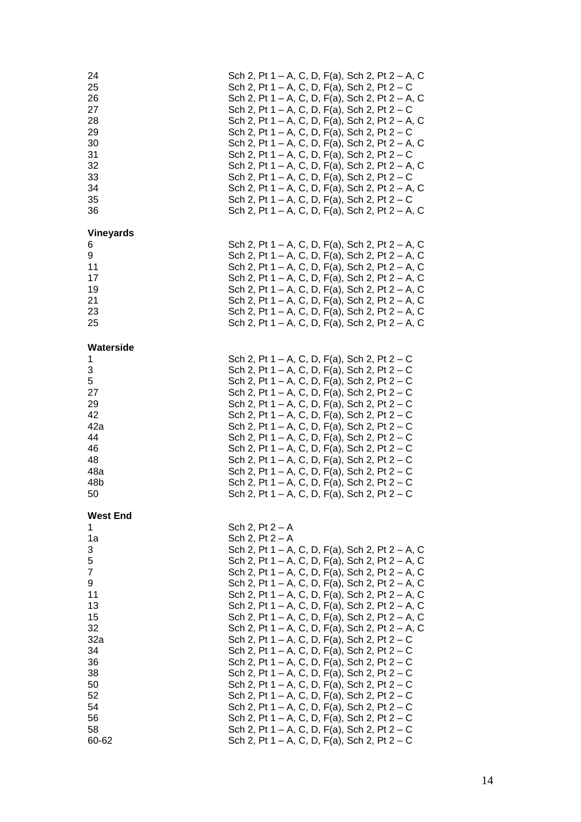| 24<br>25<br>26<br>27<br>28<br>29<br>30<br>31<br>32<br>33<br>34<br>35<br>36                                                             | Sch 2, Pt 1 – A, C, D, F(a), Sch 2, Pt 2 – A, C<br>Sch 2, Pt 1 – A, C, D, F(a), Sch 2, Pt 2 – C<br>Sch 2, Pt 1 – A, C, D, F(a), Sch 2, Pt 2 – A, C<br>Sch 2, Pt 1 – A, C, D, F(a), Sch 2, Pt 2 – C<br>Sch 2, Pt 1 – A, C, D, F(a), Sch 2, Pt 2 – A, C<br>Sch 2, Pt 1 – A, C, D, F(a), Sch 2, Pt $2 - C$<br>Sch 2, Pt 1 – A, C, D, F(a), Sch 2, Pt 2 – A, C<br>Sch 2, Pt 1 - A, C, D, F(a), Sch 2, Pt 2 - C<br>Sch 2, Pt 1 – A, C, D, F(a), Sch 2, Pt 2 – A, C<br>Sch 2, Pt 1 – A, C, D, F(a), Sch 2, Pt 2 – C<br>Sch 2, Pt 1 – A, C, D, F(a), Sch 2, Pt 2 – A, C<br>Sch 2, Pt 1 – A, C, D, F(a), Sch 2, Pt 2 – C<br>Sch 2, Pt 1 – A, C, D, F(a), Sch 2, Pt 2 – A, C                                                                                                                                                                                                                                                                                              |
|----------------------------------------------------------------------------------------------------------------------------------------|------------------------------------------------------------------------------------------------------------------------------------------------------------------------------------------------------------------------------------------------------------------------------------------------------------------------------------------------------------------------------------------------------------------------------------------------------------------------------------------------------------------------------------------------------------------------------------------------------------------------------------------------------------------------------------------------------------------------------------------------------------------------------------------------------------------------------------------------------------------------------------------------------------------------------------------------------------------|
| <b>Vineyards</b><br>6<br>9<br>11<br>17<br>19<br>21<br>23<br>25                                                                         | Sch 2, Pt 1 – A, C, D, F(a), Sch 2, Pt 2 – A, C<br>Sch 2, Pt 1 – A, C, D, F(a), Sch 2, Pt 2 – A, C<br>Sch 2, Pt 1 – A, C, D, F(a), Sch 2, Pt 2 – A, C<br>Sch 2, Pt 1 – A, C, D, F(a), Sch 2, Pt 2 – A, C<br>Sch 2, Pt 1 – A, C, D, F(a), Sch 2, Pt 2 – A, C<br>Sch 2, Pt 1 – A, C, D, F(a), Sch 2, Pt 2 – A, C<br>Sch 2, Pt 1 – A, C, D, F(a), Sch 2, Pt 2 – A, C<br>Sch 2, Pt 1 – A, C, D, F(a), Sch 2, Pt 2 – A, C                                                                                                                                                                                                                                                                                                                                                                                                                                                                                                                                             |
| Waterside<br>1<br>3<br>5<br>27<br>29<br>42<br>42a<br>44<br>46<br>48<br>48a<br>48b<br>50                                                | Sch 2, Pt $1 - A$ , C, D, F(a), Sch 2, Pt $2 - C$<br>Sch 2, Pt 1 - A, C, D, F(a), Sch 2, Pt 2 - C<br>Sch 2, Pt 1 – A, C, D, F(a), Sch 2, Pt 2 – C<br>Sch 2, Pt 1 – A, C, D, F(a), Sch 2, Pt 2 – C<br>Sch 2, Pt 1 – A, C, D, F(a), Sch 2, Pt 2 – C<br>Sch 2, Pt 1 – A, C, D, F(a), Sch 2, Pt 2 – C<br>Sch 2, Pt 1 – A, C, D, F(a), Sch 2, Pt $2 - C$<br>Sch 2, Pt 1 – A, C, D, F(a), Sch 2, Pt 2 – C<br>Sch 2, Pt 1 – A, C, D, F(a), Sch 2, Pt 2 – C<br>Sch 2, Pt 1 – A, C, D, F(a), Sch 2, Pt $2 - C$<br>Sch 2, Pt 1 – A, C, D, F(a), Sch 2, Pt $2 - C$<br>Sch 2, Pt 1 – A, C, D, F(a), Sch 2, Pt 2 – C<br>Sch 2, Pt $1 - A$ , C, D, F(a), Sch 2, Pt $2 - C$                                                                                                                                                                                                                                                                                                     |
| <b>West End</b><br>1<br>1a<br>3<br>5<br>7<br>9<br>11<br>13<br>15<br>32<br>32a<br>34<br>36<br>38<br>50<br>52<br>54<br>56<br>58<br>60-62 | Sch 2, $Pt 2 - A$<br>Sch 2, $Pt 2 - A$<br>Sch 2, Pt 1 – A, C, D, F(a), Sch 2, Pt 2 – A, C<br>Sch 2, Pt 1 – A, C, D, F(a), Sch 2, Pt 2 – A, C<br>Sch 2, Pt 1 – A, C, D, F(a), Sch 2, Pt 2 – A, C<br>Sch 2, Pt 1 – A, C, D, F(a), Sch 2, Pt 2 – A, C<br>Sch 2, Pt 1 – A, C, D, F(a), Sch 2, Pt 2 – A, C<br>Sch 2, Pt 1 – A, C, D, F(a), Sch 2, Pt 2 – A, C<br>Sch 2, Pt 1 – A, C, D, F(a), Sch 2, Pt 2 – A, C<br>Sch 2, Pt 1 – A, C, D, F(a), Sch 2, Pt 2 – A, C<br>Sch 2, Pt 1 – A, C, D, F(a), Sch 2, Pt 2 – C<br>Sch 2, Pt 1 – A, C, D, F(a), Sch 2, Pt 2 – C<br>Sch 2, Pt 1 – A, C, D, F(a), Sch 2, Pt 2 – C<br>Sch 2, Pt 1 – A, C, D, F(a), Sch 2, Pt 2 – C<br>Sch 2, Pt 1 – A, C, D, F(a), Sch 2, Pt 2 – C<br>Sch 2, Pt 1 – A, C, D, F(a), Sch 2, Pt 2 – C<br>Sch 2, Pt 1 – A, C, D, F(a), Sch 2, Pt 2 – C<br>Sch 2, Pt 1 – A, C, D, F(a), Sch 2, Pt 2 – C<br>Sch 2, Pt 1 – A, C, D, F(a), Sch 2, Pt 2 – C<br>Sch 2, Pt 1 – A, C, D, F(a), Sch 2, Pt $2 - C$ |